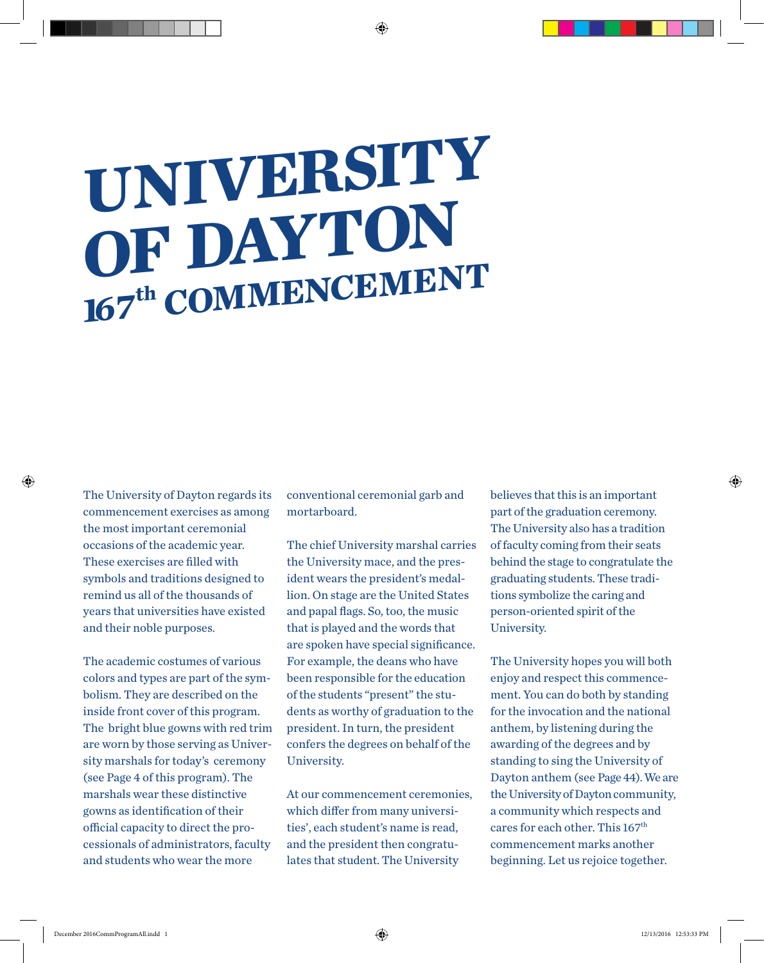## **UNIVERSITY OF DAYTON 167th COMMENCEMENT**

The University of Dayton regards its commencement exercises as among the most important ceremonial occasions of the academic year. These exercises are filled with symbols and traditions designed to remind us all of the thousands of years that universities have existed and their noble purposes.

The academic costumes of various colors and types are part of the symbolism. They are described on the inside front cover of this program. The bright blue gowns with red trim are worn by those serving as University marshals for today's ceremony (see Page 4 of this program). The marshals wear these distinctive gowns as identification of their official capacity to direct the processionals of administrators, faculty and students who wear the more

conventional ceremonial garb and mortarboard.

♠

The chief University marshal carries the University mace, and the president wears the president's medallion. On stage are the United States and papal flags. So, too, the music that is played and the words that are spoken have special significance. For example, the deans who have been responsible for the education of the students "present" the students as worthy of graduation to the president. In turn, the president confers the degrees on behalf of the University.

At our commencement ceremonies, which differ from many universities', each student's name is read, and the president then congratulates that student. The University

believes that this is an important part of the graduation ceremony. The University also has a tradition of faculty coming from their seats behind the stage to congratulate the graduating students. These traditions symbolize the caring and person-oriented spirit of the University.

The University hopes you will both enjoy and respect this commencement. You can do both by standing for the invocation and the national anthem, by listening during the awarding of the degrees and by standing to sing the University of Dayton anthem (see Page 44). We are the University of Dayton community, a community which respects and cares for each other. This 167<sup>th</sup> commencement marks another beginning. Let us rejoice together.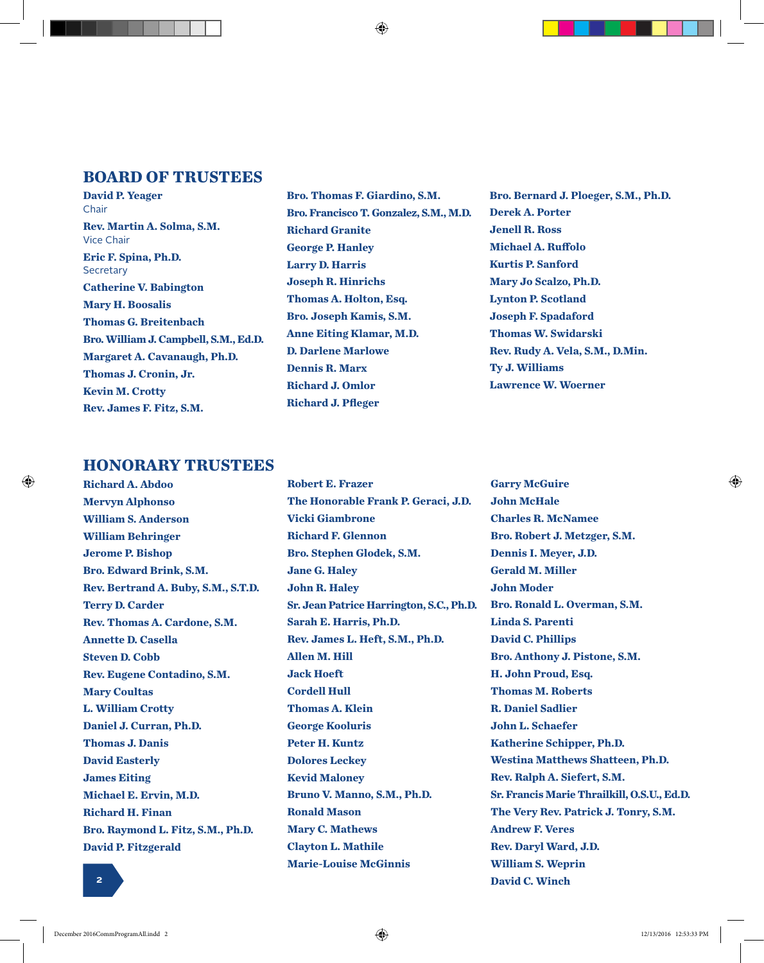#### **BOARD OF TRUSTEES**

**David P. Yeager** Chair **Rev. Martin A. Solma, S.M.** Vice Chair **Eric F. Spina, Ph.D. Secretary Catherine V. Babington Mary H. Boosalis Thomas G. Breitenbach Bro. William J. Campbell, S.M., Ed.D. Margaret A. Cavanaugh, Ph.D. Thomas J. Cronin, Jr. Kevin M. Crotty Rev. James F. Fitz, S.M.**

**Bro. Thomas F. Giardino, S.M. Bro. Francisco T. Gonzalez, S.M., M.D. Richard Granite George P. Hanley Larry D. Harris Joseph R. Hinrichs Thomas A. Holton, Esq. Bro. Joseph Kamis, S.M. Anne Eiting Klamar, M.D. D. Darlene Marlowe Dennis R. Marx Richard J. Omlor Richard J. Pfleger**

**Bro. Bernard J. Ploeger, S.M., Ph.D. Derek A. Porter Jenell R. Ross Michael A. Ruffolo Kurtis P. Sanford Mary Jo Scalzo, Ph.D. Lynton P. Scotland Joseph F. Spadaford Thomas W. Swidarski Rev. Rudy A. Vela, S.M., D.Min. Ty J. Williams Lawrence W. Woerner**

#### **HONORARY TRUSTEES**

⊕

**Richard A. Abdoo Mervyn Alphonso William S. Anderson William Behringer Jerome P. Bishop Bro. Edward Brink, S.M. Rev. Bertrand A. Buby, S.M., S.T.D. Terry D. Carder Rev. Thomas A. Cardone, S.M. Annette D. Casella Steven D. Cobb Rev. Eugene Contadino, S.M. Mary Coultas L. William Crotty Daniel J. Curran, Ph.D. Thomas J. Danis David Easterly James Eiting Michael E. Ervin, M.D. Richard H. Finan Bro. Raymond L. Fitz, S.M., Ph.D. David P. Fitzgerald**

**Robert E. Frazer The Honorable Frank P. Geraci, J.D. Vicki Giambrone Richard F. Glennon Bro. Stephen Glodek, S.M. Jane G. Haley John R. Haley Sr. Jean Patrice Harrington, S.C., Ph.D. Sarah E. Harris, Ph.D. Rev. James L. Heft, S.M., Ph.D. Allen M. Hill Jack Hoeft Cordell Hull Thomas A. Klein George Kooluris Peter H. Kuntz Dolores Leckey Kevid Maloney Bruno V. Manno, S.M., Ph.D. Ronald Mason Mary C. Mathews Clayton L. Mathile Marie-Louise McGinnis**

**Garry McGuire John McHale Charles R. McNamee Bro. Robert J. Metzger, S.M. Dennis I. Meyer, J.D. Gerald M. Miller John Moder Bro. Ronald L. Overman, S.M. Linda S. Parenti David C. Phillips Bro. Anthony J. Pistone, S.M. H. John Proud, Esq. Thomas M. Roberts R. Daniel Sadlier John L. Schaefer Katherine Schipper, Ph.D. Westina Matthews Shatteen, Ph.D. Rev. Ralph A. Siefert, S.M. Sr. Francis Marie Thrailkill, O.S.U., Ed.D. The Very Rev. Patrick J. Tonry, S.M. Andrew F. Veres Rev. Daryl Ward, J.D. William S. Weprin 2 David C. Winch**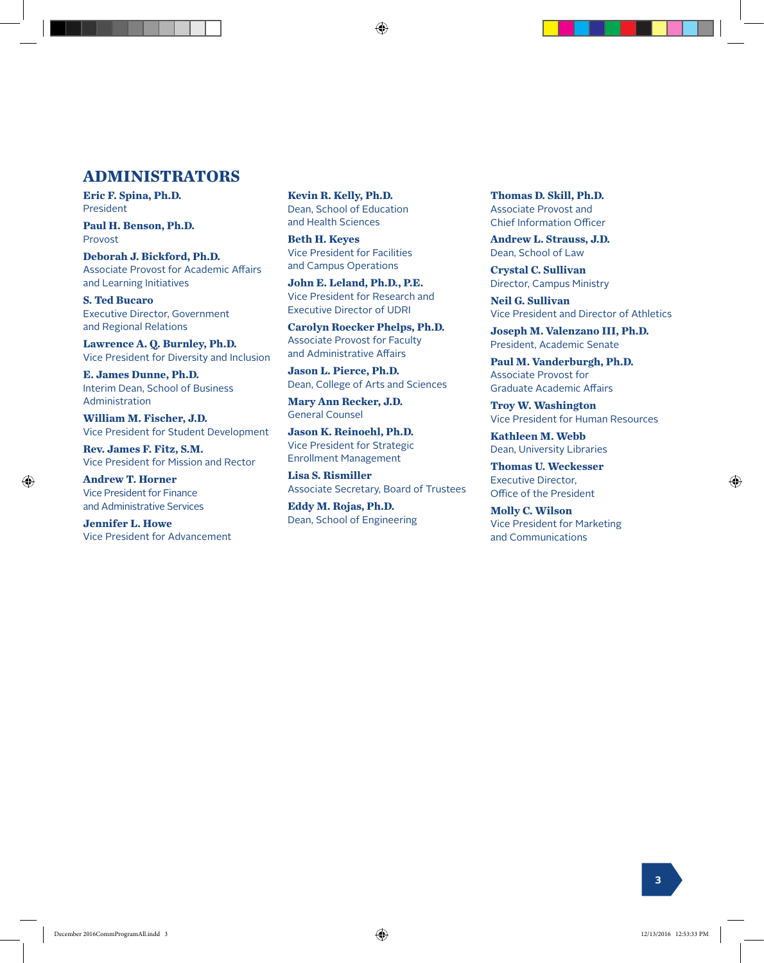#### **ADMINISTRATORS**

**Eric F. Spina, Ph.D.** President

**Paul H. Benson, Ph.D.** Provost

**Deborah J. Bickford, Ph.D.** Associate Provost for Academic Affairs and Learning Initiatives

**S. Ted Bucaro** Executive Director, Government and Regional Relations

**Lawrence A. Q. Burnley, Ph.D.** Vice President for Diversity and Inclusion

**E. James Dunne, Ph.D.** Interim Dean, School of Business Administration

**William M. Fischer, J.D.** Vice President for Student Development

**Rev. James F. Fitz, S.M.** Vice President for Mission and Rector

**Andrew T. Horner** Vice President for Finance and Administrative Services

⊕

**Jennifer L. Howe** Vice President for Advancement **Kevin R. Kelly, Ph.D.** Dean, School of Education and Health Sciences

⊕

**Beth H. Keyes** Vice President for Facilities and Campus Operations

**John E. Leland, Ph.D., P.E.** Vice President for Research and Executive Director of UDRI

**Carolyn Roecker Phelps, Ph.D.** Associate Provost for Faculty and Administrative Affairs

**Jason L. Pierce, Ph.D.** Dean, College of Arts and Sciences

**Mary Ann Recker, J.D.** General Counsel

**Jason K. Reinoehl, Ph.D.** Vice President for Strategic Enrollment Management

**Lisa S. Rismiller** Associate Secretary, Board of Trustees

**Eddy M. Rojas, Ph.D.** Dean, School of Engineering **Thomas D. Skill, Ph.D.** Associate Provost and Chief Information Officer

**Andrew L. Strauss, J.D.** Dean, School of Law

**Crystal C. Sullivan** Director, Campus Ministry

**Neil G. Sullivan** Vice President and Director of Athletics

**Joseph M. Valenzano III, Ph.D.** President, Academic Senate

**Paul M. Vanderburgh, Ph.D.** Associate Provost for Graduate Academic Affairs

**Troy W. Washington** Vice President for Human Resources

**Kathleen M. Webb** Dean, University Libraries

**Thomas U. Weckesser** Executive Director, Office of the President

**Molly C. Wilson** Vice President for Marketing and Communications

**3**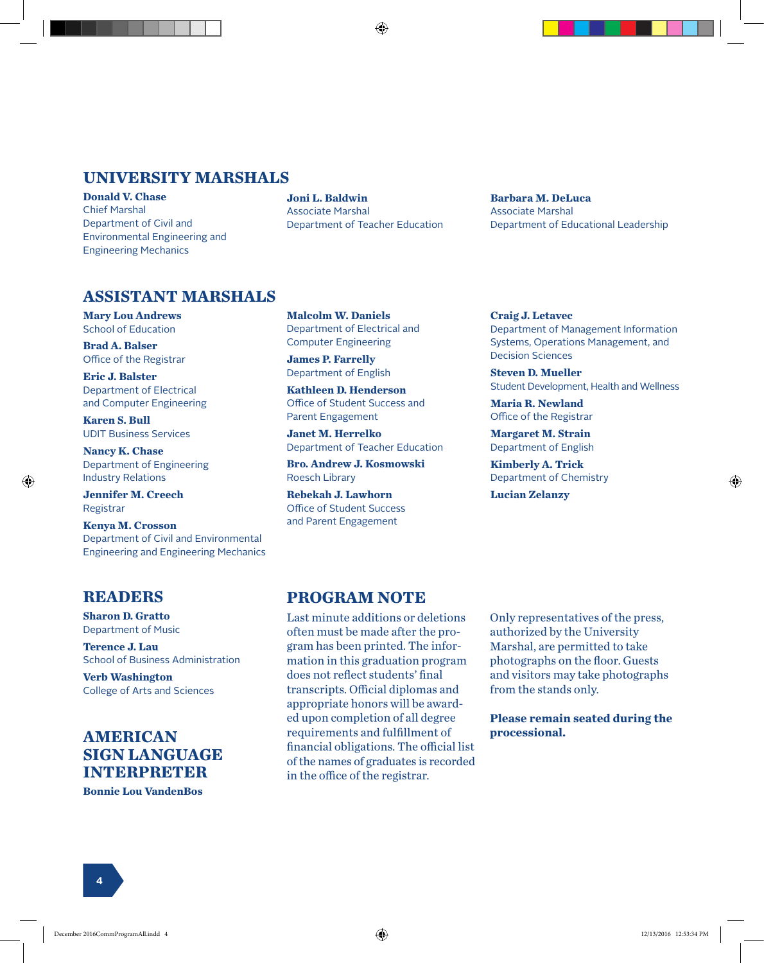#### **UNIVERSITY MARSHALS**

**Donald V. Chase** Chief Marshal Department of Civil and Environmental Engineering and Engineering Mechanics

**Joni L. Baldwin** Associate Marshal Department of Teacher Education **Barbara M. DeLuca** Associate Marshal Department of Educational Leadership

#### **ASSISTANT MARSHALS**

**Mary Lou Andrews** School of Education

**Brad A. Balser** Office of the Registrar

**Eric J. Balster** Department of Electrical and Computer Engineering

**Karen S. Bull** UDIT Business Services

**Nancy K. Chase** Department of Engineering Industry Relations

**Jennifer M. Creech** Registrar

⊕

**Kenya M. Crosson** Department of Civil and Environmental Engineering and Engineering Mechanics **Malcolm W. Daniels** Department of Electrical and Computer Engineering

**James P. Farrelly** Department of English

**Kathleen D. Henderson** Office of Student Success and Parent Engagement

**Janet M. Herrelko** Department of Teacher Education

**Bro. Andrew J. Kosmowski** Roesch Library

**Rebekah J. Lawhorn** Office of Student Success and Parent Engagement

#### **Craig J. Letavec**

Department of Management Information Systems, Operations Management, and Decision Sciences

**Steven D. Mueller** Student Development, Health and Wellness

**Maria R. Newland** Office of the Registrar

**Margaret M. Strain** Department of English

**Kimberly A. Trick** Department of Chemistry

**Lucian Zelanzy**

#### **READERS**

**Sharon D. Gratto** Department of Music

**Terence J. Lau** School of Business Administration

**Verb Washington** College of Arts and Sciences

#### **AMERICAN SIGN LANGUAGE INTERPRETER**

**Bonnie Lou VandenBos**

#### **PROGRAM NOTE**

Last minute additions or deletions often must be made after the program has been printed. The information in this graduation program does not reflect students' final transcripts. Official diplomas and appropriate honors will be awarded upon completion of all degree requirements and fulfillment of financial obligations. The official list of the names of graduates is recorded in the office of the registrar.

Only representatives of the press, authorized by the University Marshal, are permitted to take photographs on the floor. Guests and visitors may take photographs from the stands only.

**Please remain seated during the processional.**

**4**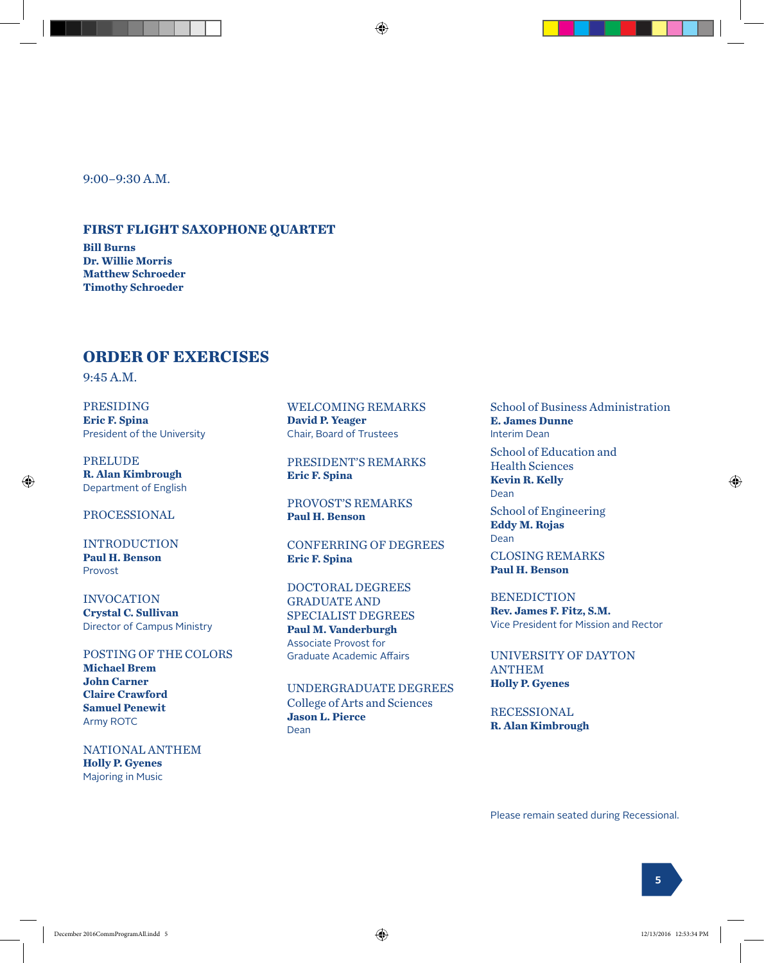9:00–9:30 A.M.

#### **FIRST FLIGHT SAXOPHONE QUARTET**

**Bill Burns Dr. Willie Morris Matthew Schroeder Timothy Schroeder**

#### **ORDER OF EXERCISES**

9:45 A.M.

⊕

PRESIDING **Eric F. Spina** President of the University

PRELUDE **R. Alan Kimbrough** Department of English

PROCESSIONAL

INTRODUCTION **Paul H. Benson** Provost

INVOCATION **Crystal C. Sullivan** Director of Campus Ministry

POSTING OF THE COLORS **Michael Brem John Carner Claire Crawford Samuel Penewit** Army ROTC

NATIONAL ANTHEM **Holly P. Gyenes** Majoring in Music

WELCOMING REMARKS **David P. Yeager** Chair, Board of Trustees

PRESIDENT'S REMARKS **Eric F. Spina**

PROVOST'S REMARKS **Paul H. Benson**

CONFERRING OF DEGREES **Eric F. Spina**

DOCTORAL DEGREES GRADUATE AND SPECIALIST DEGREES **Paul M. Vanderburgh** Associate Provost for Graduate Academic Affairs

UNDERGRADUATE DEGREES College of Arts and Sciences **Jason L. Pierce** Dean

School of Business Administration **E. James Dunne** Interim Dean School of Education and Health Sciences **Kevin R. Kelly** Dean School of Engineering **Eddy M. Rojas** Dean

CLOSING REMARKS **Paul H. Benson**

BENEDICTION

**Rev. James F. Fitz, S.M.** Vice President for Mission and Rector

UNIVERSITY OF DAYTON ANTHEM **Holly P. Gyenes**

RECESSIONAL **R. Alan Kimbrough**

Please remain seated during Recessional.

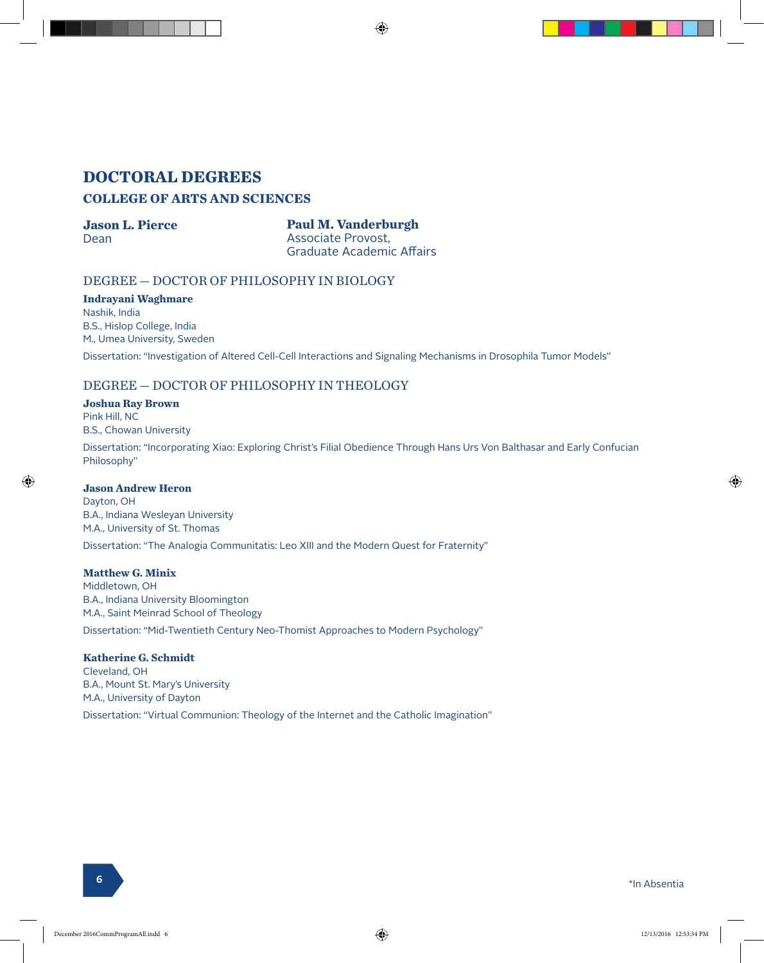#### **DOCTORAL DEGREES COLLEGE OF ARTS AND SCIENCES**

#### **Jason L. Pierce**

Dean

**Paul M. Vanderburgh** Associate Provost, Graduate Academic Affairs

⊕

#### DEGREE — DOCTOR OF PHILOSOPHY IN BIOLOGY

#### **Indrayani Waghmare** Nashik, India B.S., Hislop College, India M., Umea University, Sweden

Dissertation: "Investigation of Altered Cell-Cell Interactions and Signaling Mechanisms in Drosophila Tumor Models"

#### DEGREE — DOCTOR OF PHILOSOPHY IN THEOLOGY

#### **Joshua Ray Brown**

Pink Hill, NC B.S., Chowan University

Dissertation: "Incorporating Xiao: Exploring Christ's Filial Obedience Through Hans Urs Von Balthasar and Early Confucian Philosophy"

#### **Jason Andrew Heron**

Dayton, OH B.A., Indiana Wesleyan University M.A., University of St. Thomas Dissertation: "The Analogia Communitatis: Leo XIII and the Modern Quest for Fraternity"

#### **Matthew G. Minix**

Middletown, OH B.A., Indiana University Bloomington M.A., Saint Meinrad School of Theology Dissertation: "Mid-Twentieth Century Neo-Thomist Approaches to Modern Psychology"

#### **Katherine G. Schmidt**

Cleveland, OH B.A., Mount St. Mary's University M.A., University of Dayton Dissertation: "Virtual Communion: Theology of the Internet and the Catholic Imagination"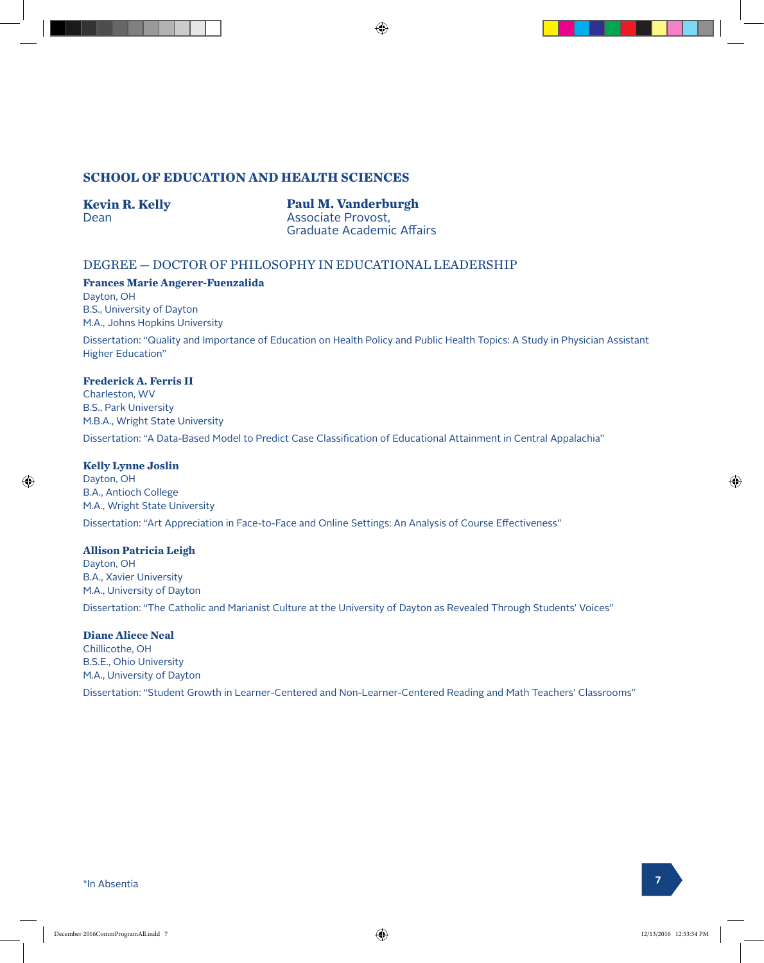#### **SCHOOL OF EDUCATION AND HEALTH SCIENCES**

#### **Kevin R. Kelly** Dean

**Paul M. Vanderburgh** Associate Provost, Graduate Academic Affairs

#### DEGREE — DOCTOR OF PHILOSOPHY IN EDUCATIONAL LEADERSHIP

**Frances Marie Angerer-Fuenzalida** Dayton, OH B.S., University of Dayton

M.A., Johns Hopkins University

Dissertation: "Quality and Importance of Education on Health Policy and Public Health Topics: A Study in Physician Assistant Higher Education"

#### **Frederick A. Ferris II**

Charleston, WV B.S., Park University M.B.A., Wright State University

Dissertation: "A Data-Based Model to Predict Case Classification of Educational Attainment in Central Appalachia"

#### **Kelly Lynne Joslin**

Dayton, OH B.A., Antioch College M.A., Wright State University Dissertation: "Art Appreciation in Face-to-Face and Online Settings: An Analysis of Course Effectiveness"

#### **Allison Patricia Leigh**

Dayton, OH B.A., Xavier University M.A., University of Dayton Dissertation: "The Catholic and Marianist Culture at the University of Dayton as Revealed Through Students' Voices"

#### **Diane Aliece Neal**

Chillicothe, OH B.S.E., Ohio University M.A., University of Dayton Dissertation: "Student Growth in Learner-Centered and Non-Learner-Centered Reading and Math Teachers' Classrooms"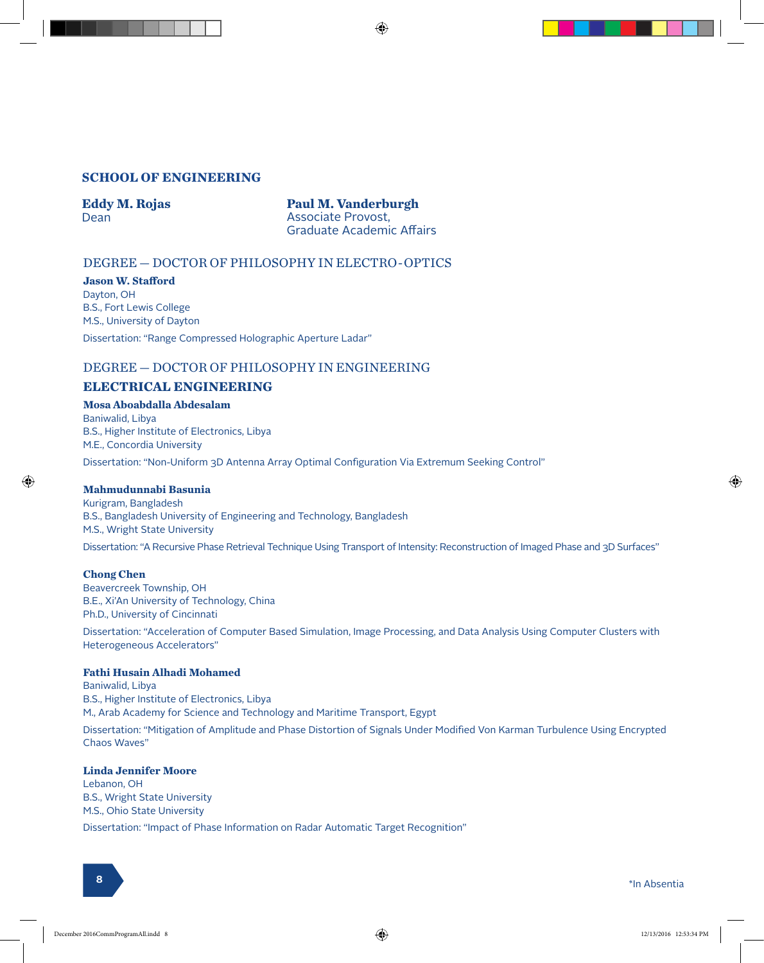#### **SCHOOL OF ENGINEERING**

#### **Eddy M. Rojas** Dean

**Paul M. Vanderburgh** Associate Provost, Graduate Academic Affairs

⊕

#### DEGREE — DOCTOR OF PHILOSOPHY IN ELECTRO-OPTICS

**Jason W. Stafford** Dayton, OH B.S., Fort Lewis College M.S., University of Dayton Dissertation: "Range Compressed Holographic Aperture Ladar"

#### DEGREE — DOCTOR OF PHILOSOPHY IN ENGINEERING

#### **ELECTRICAL ENGINEERING**

**Mosa Aboabdalla Abdesalam** Baniwalid, Libya B.S., Higher Institute of Electronics, Libya M.E., Concordia University Dissertation: "Non-Uniform 3D Antenna Array Optimal Configuration Via Extremum Seeking Control"

#### **Mahmudunnabi Basunia**

Kurigram, Bangladesh B.S., Bangladesh University of Engineering and Technology, Bangladesh M.S., Wright State University

Dissertation: "A Recursive Phase Retrieval Technique Using Transport of Intensity: Reconstruction of Imaged Phase and 3D Surfaces"

#### **Chong Chen**

⊕

Beavercreek Township, OH B.E., Xi'An University of Technology, China Ph.D., University of Cincinnati

Dissertation: "Acceleration of Computer Based Simulation, Image Processing, and Data Analysis Using Computer Clusters with Heterogeneous Accelerators"

#### **Fathi Husain Alhadi Mohamed**

Baniwalid, Libya B.S., Higher Institute of Electronics, Libya M., Arab Academy for Science and Technology and Maritime Transport, Egypt Dissertation: "Mitigation of Amplitude and Phase Distortion of Signals Under Modified Von Karman Turbulence Using Encrypted Chaos Waves"

#### **Linda Jennifer Moore**

Lebanon, OH B.S., Wright State University M.S., Ohio State University Dissertation: "Impact of Phase Information on Radar Automatic Target Recognition"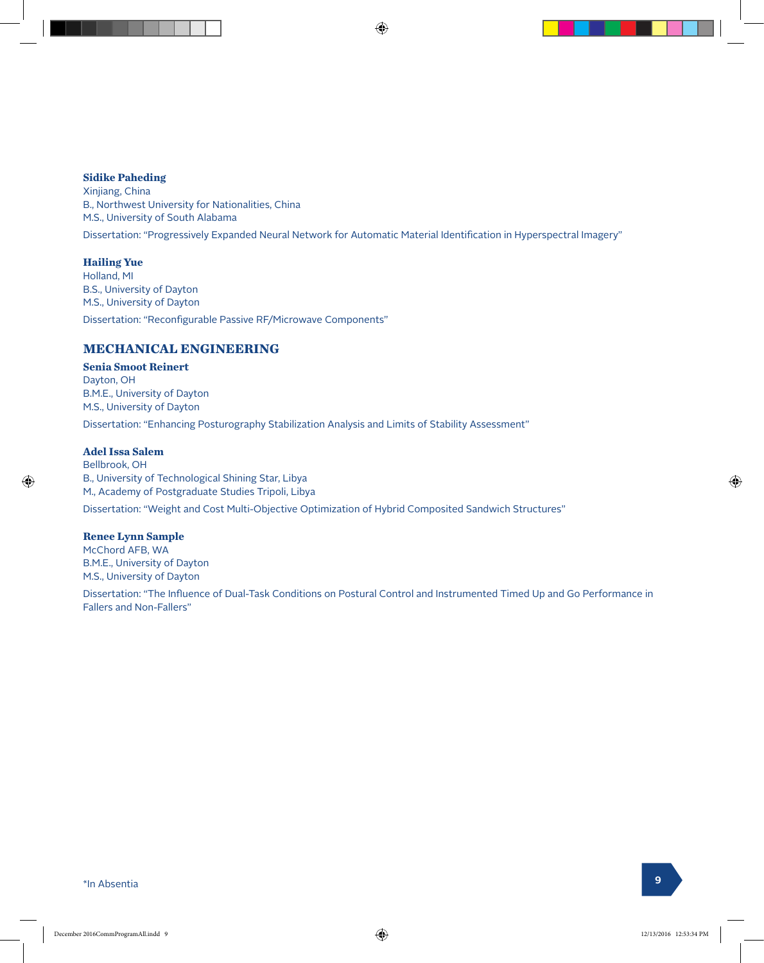#### **Sidike Paheding**

Xinjiang, China B., Northwest University for Nationalities, China M.S., University of South Alabama Dissertation: "Progressively Expanded Neural Network for Automatic Material Identification in Hyperspectral Imagery"

#### **Hailing Yue**

Holland, MI B.S., University of Dayton M.S., University of Dayton Dissertation: "Reconfigurable Passive RF/Microwave Components"

#### **MECHANICAL ENGINEERING**

#### **Senia Smoot Reinert**

Dayton, OH B.M.E., University of Dayton M.S., University of Dayton

Dissertation: "Enhancing Posturography Stabilization Analysis and Limits of Stability Assessment"

#### **Adel Issa Salem**

Bellbrook, OH B., University of Technological Shining Star, Libya M., Academy of Postgraduate Studies Tripoli, Libya Dissertation: "Weight and Cost Multi-Objective Optimization of Hybrid Composited Sandwich Structures"

#### **Renee Lynn Sample**

McChord AFB, WA B.M.E., University of Dayton M.S., University of Dayton Dissertation: "The Influence of Dual-Task Conditions on Postural Control and Instrumented Timed Up and Go Performance in Fallers and Non-Fallers"

\*In Absentia **<sup>9</sup>**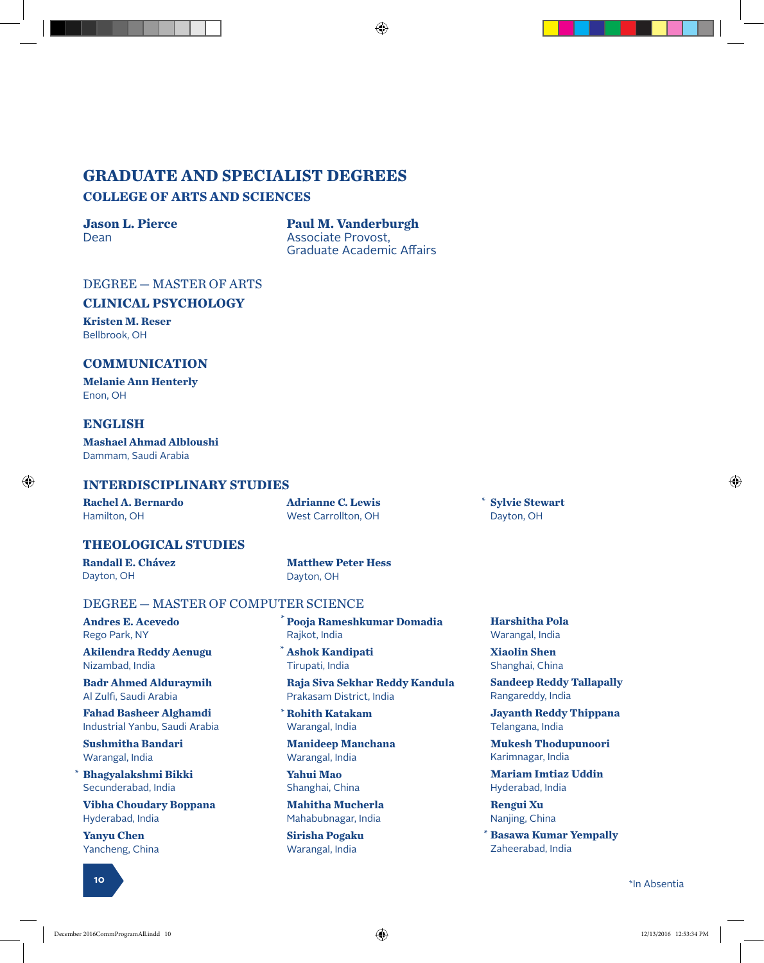## **GRADUATE AND SPECIALIST DEGREES**

#### **COLLEGE OF ARTS AND SCIENCES**

#### **Jason L. Pierce** Dean

**Paul M. Vanderburgh** Associate Provost, Graduate Academic Affairs

⊕

#### DEGREE — MASTER OF ARTS

#### **CLINICAL PSYCHOLOGY**

**Kristen M. Reser** Bellbrook, OH

#### **COMMUNICATION**

**Melanie Ann Henterly** Enon, OH

#### **ENGLISH**

⊕

**Mashael Ahmad Albloushi** Dammam, Saudi Arabia

#### **INTERDISCIPLINARY STUDIES**

**Rachel A. Bernardo** Hamilton, OH

**Adrianne C. Lewis** West Carrollton, OH

**Sylvie Stewart** Dayton, OH

\*

#### **THEOLOGICAL STUDIES**

**Randall E. Chávez** Dayton, OH

**Matthew Peter Hess** Dayton, OH

#### DEGREE — MASTER OF COMPUTER SCIENCE

**Andres E. Acevedo** Rego Park, NY

**Akilendra Reddy Aenugu** Nizambad, India

**Badr Ahmed Alduraymih** Al Zulfi, Saudi Arabia

**Fahad Basheer Alghamdi** Industrial Yanbu, Saudi Arabia

**Sushmitha Bandari** Warangal, India

**Bhagyalakshmi Bikki** Secunderabad, India \*

**Vibha Choudary Boppana** Hyderabad, India

**Yanyu Chen** Yancheng, China



**Pooja Rameshkumar Domadia** Rajkot, India \*

**Ashok Kandipati** \* Tirupati, India

**Raja Siva Sekhar Reddy Kandula** Prakasam District, India

**Rohith Katakam** \* Warangal, India

**Manideep Manchana** Warangal, India

**Yahui Mao** Shanghai, China

**Mahitha Mucherla** Mahabubnagar, India

**Sirisha Pogaku** Warangal, India

**Harshitha Pola** Warangal, India

**Xiaolin Shen** Shanghai, China

**Sandeep Reddy Tallapally** Rangareddy, India

**Jayanth Reddy Thippana** Telangana, India

**Mukesh Thodupunoori** Karimnagar, India

**Mariam Imtiaz Uddin** Hyderabad, India

**Rengui Xu** Nanjing, China

**Basawa Kumar Yempally** \* Zaheerabad, India

<sup>10</sup> \*In Absentia **<sup>10</sup>**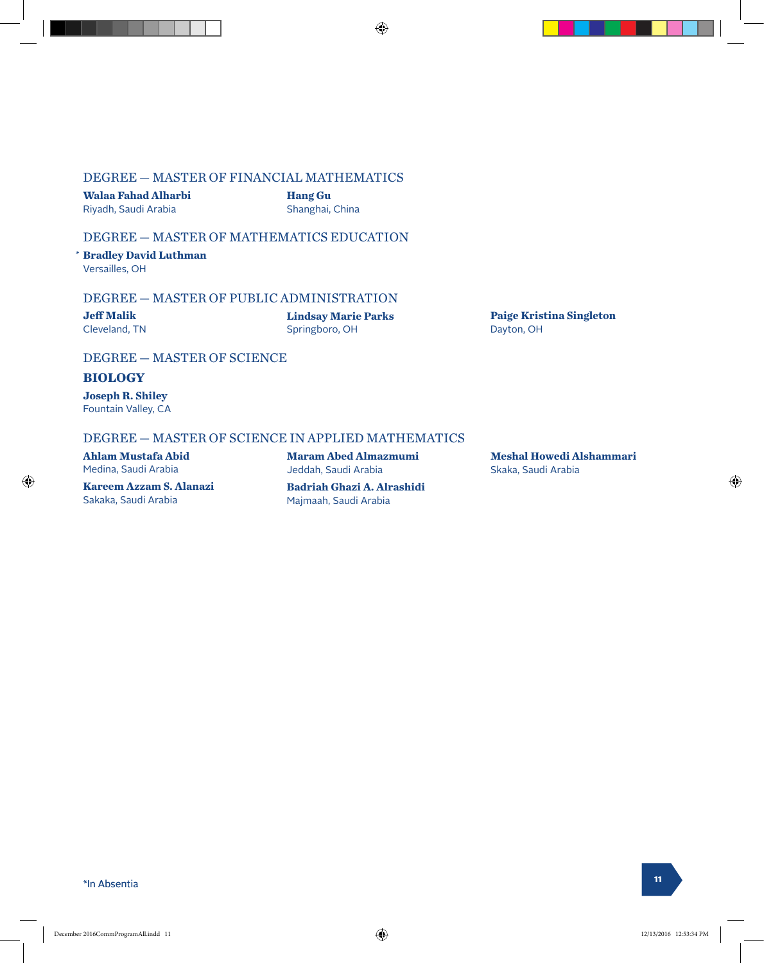#### DEGREE — MASTER OF FINANCIAL MATHEMATICS

**Walaa Fahad Alharbi** Riyadh, Saudi Arabia

**Hang Gu** Shanghai, China ⊕

#### DEGREE — MASTER OF MATHEMATICS EDUCATION

**Bradley David Luthman** \* Versailles, OH

#### DEGREE — MASTER OF PUBLIC ADMINISTRATION

**Jeff Malik** Cleveland, TN **Lindsay Marie Parks** Springboro, OH

**Paige Kristina Singleton** Dayton, OH

#### DEGREE — MASTER OF SCIENCE

#### **BIOLOGY**

⊕

**Joseph R. Shiley** Fountain Valley, CA

#### DEGREE — MASTER OF SCIENCE IN APPLIED MATHEMATICS

**Ahlam Mustafa Abid** Medina, Saudi Arabia

**Kareem Azzam S. Alanazi** Sakaka, Saudi Arabia

**Maram Abed Almazmumi** Jeddah, Saudi Arabia **Badriah Ghazi A. Alrashidi**

Majmaah, Saudi Arabia

**Meshal Howedi Alshammari** Skaka, Saudi Arabia

\*In Absentia **<sup>11</sup>**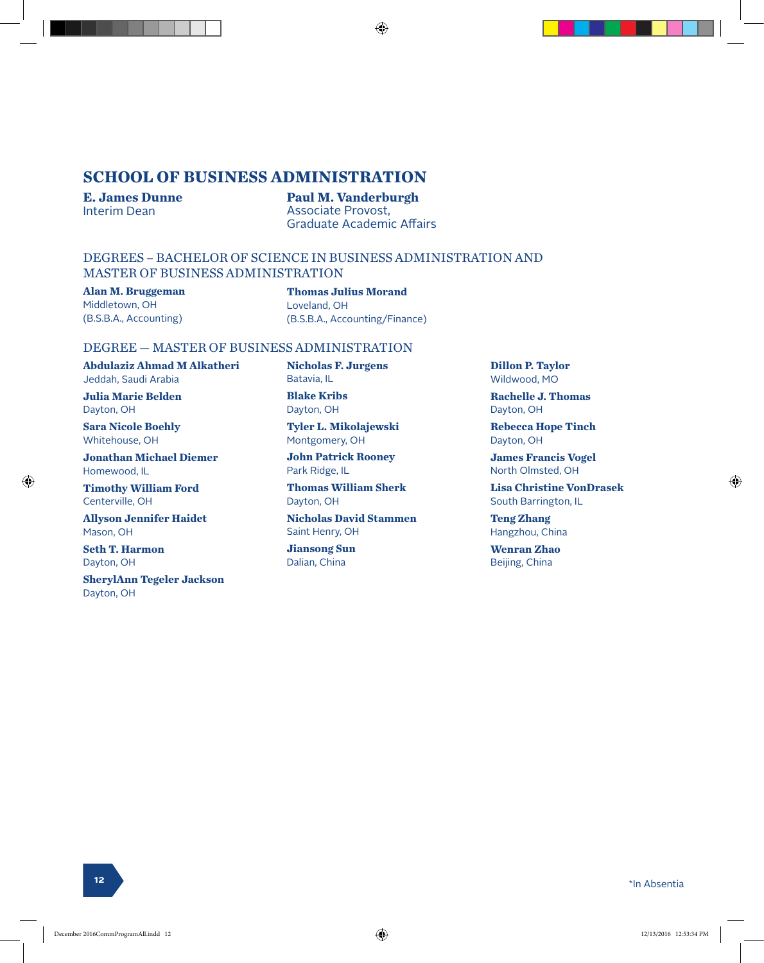#### **SCHOOL OF BUSINESS ADMINISTRATION**

**E. James Dunne** Interim Dean

**Paul M. Vanderburgh** Associate Provost, Graduate Academic Affairs

♠

#### DEGREES – BACHELOR OF SCIENCE IN BUSINESS ADMINISTRATION AND MASTER OF BUSINESS ADMINISTRATION

**Alan M. Bruggeman** Middletown, OH (B.S.B.A., Accounting)

#### **Thomas Julius Morand**

Loveland, OH (B.S.B.A., Accounting/Finance)

#### DEGREE — MASTER OF BUSINESS ADMINISTRATION

**Abdulaziz Ahmad M Alkatheri** Jeddah, Saudi Arabia

**Julia Marie Belden** Dayton, OH

**Sara Nicole Boehly** Whitehouse, OH

**Jonathan Michael Diemer** Homewood, IL

**Timothy William Ford** Centerville, OH

**Allyson Jennifer Haidet** Mason, OH

**Seth T. Harmon** Dayton, OH

⊕

**SherylAnn Tegeler Jackson** Dayton, OH

**Nicholas F. Jurgens** Batavia, IL

**Blake Kribs** Dayton, OH

**Tyler L. Mikolajewski** Montgomery, OH

**John Patrick Rooney** Park Ridge, IL

**Thomas William Sherk** Dayton, OH

**Nicholas David Stammen** Saint Henry, OH

**Jiansong Sun** Dalian, China

**Dillon P. Taylor** Wildwood, MO

**Rachelle J. Thomas** Dayton, OH

**Rebecca Hope Tinch** Dayton, OH

**James Francis Vogel** North Olmsted, OH

**Lisa Christine VonDrasek** South Barrington, IL

**Teng Zhang** Hangzhou, China

**Wenran Zhao** Beijing, China

**<sup>12</sup>** \*In Absentia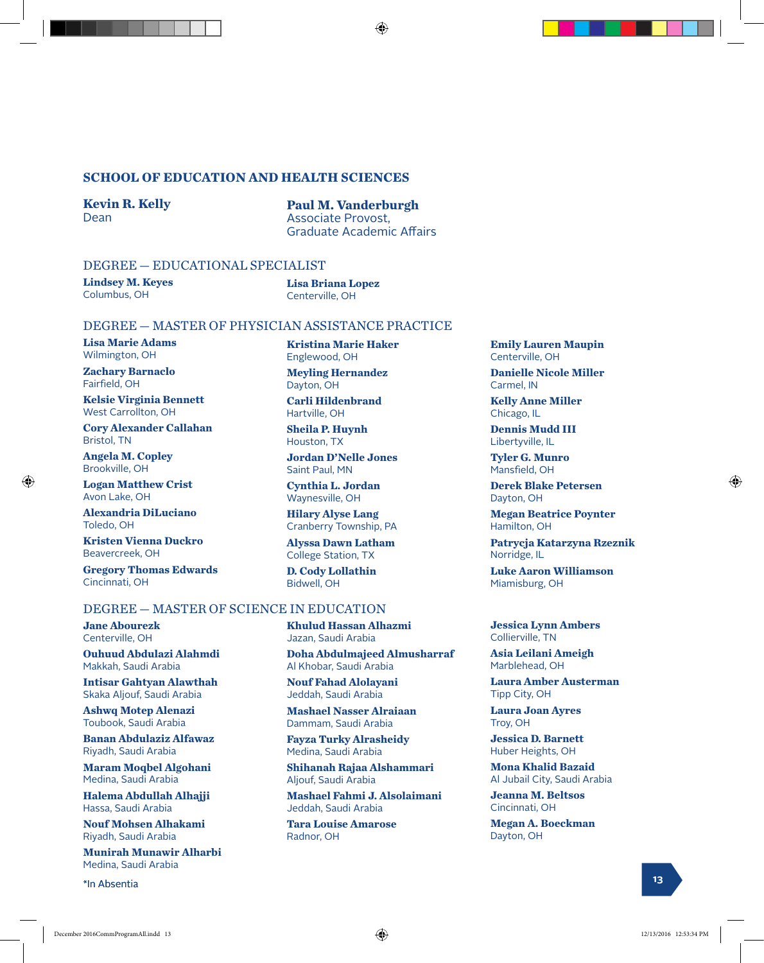#### **SCHOOL OF EDUCATION AND HEALTH SCIENCES**

**Kevin R. Kelly** Dean

**Paul M. Vanderburgh** Associate Provost, Graduate Academic Affairs

#### DEGREE — EDUCATIONAL SPECIALIST

**Lindsey M. Keyes** Columbus, OH

**Lisa Briana Lopez** Centerville, OH

Englewood, OH **Meyling Hernandez**

Dayton, OH

Hartville, OH **Sheila P. Huynh** Houston, TX

Saint Paul, MN

Bidwell, OH

**Kristina Marie Haker**

**Carli Hildenbrand**

**Jordan D'Nelle Jones**

**Cynthia L. Jordan** Waynesville, OH **Hilary Alyse Lang** Cranberry Township, PA **Alyssa Dawn Latham** College Station, TX **D. Cody Lollathin**

#### DEGREE — MASTER OF PHYSICIAN ASSISTANCE PRACTICE

**Lisa Marie Adams** Wilmington, OH

**Zachary Barnaclo** Fairfield, OH

**Kelsie Virginia Bennett** West Carrollton, OH

**Cory Alexander Callahan** Bristol, TN

**Angela M. Copley** Brookville, OH

⊕

**Logan Matthew Crist** Avon Lake, OH

**Alexandria DiLuciano** Toledo, OH

**Kristen Vienna Duckro** Beavercreek, OH

**Jane Abourezk** Centerville, OH

Makkah, Saudi Arabia

Riyadh, Saudi Arabia

Hassa, Saudi Arabia

Medina, Saudi Arabia

**Gregory Thomas Edwards** Cincinnati, OH

**Ouhuud Abdulazi Alahmdi**

**Intisar Gahtyan Alawthah** Skaka Aljouf, Saudi Arabia **Ashwq Motep Alenazi** Toubook, Saudi Arabia

**Banan Abdulaziz Alfawaz**

**Maram Moqbel Algohani** Medina, Saudi Arabia

**Halema Abdullah Alhajji**

**Nouf Mohsen Alhakami** Riyadh, Saudi Arabia

**Munirah Munawir Alharbi**

#### DEGREE — MASTER OF SCIENCE IN EDUCATION

**Khulud Hassan Alhazmi** Jazan, Saudi Arabia

**Doha Abdulmajeed Almusharraf** Al Khobar, Saudi Arabia

**Nouf Fahad Alolayani** Jeddah, Saudi Arabia

**Mashael Nasser Alraiaan** Dammam, Saudi Arabia

**Fayza Turky Alrasheidy** Medina, Saudi Arabia

**Shihanah Rajaa Alshammari** Aljouf, Saudi Arabia

**Mashael Fahmi J. Alsolaimani** Jeddah, Saudi Arabia

**Tara Louise Amarose** Radnor, OH

**Emily Lauren Maupin** Centerville, OH

**Danielle Nicole Miller** Carmel, IN

**Kelly Anne Miller** Chicago, IL

**Dennis Mudd III** Libertyville, IL

**Tyler G. Munro** Mansfield, OH

**Derek Blake Petersen** Dayton, OH

**Megan Beatrice Poynter** Hamilton, OH

**Patrycja Katarzyna Rzeznik** Norridge, IL

**Luke Aaron Williamson** Miamisburg, OH

**Jessica Lynn Ambers** Collierville, TN

**Asia Leilani Ameigh** Marblehead, OH

**Laura Amber Austerman** Tipp City, OH

**Laura Joan Ayres** Troy, OH

**Jessica D. Barnett** Huber Heights, OH

**Mona Khalid Bazaid** Al Jubail City, Saudi Arabia

**Jeanna M. Beltsos** Cincinnati, OH

**Megan A. Boeckman** Dayton, OH

\*In Absentia **<sup>13</sup>**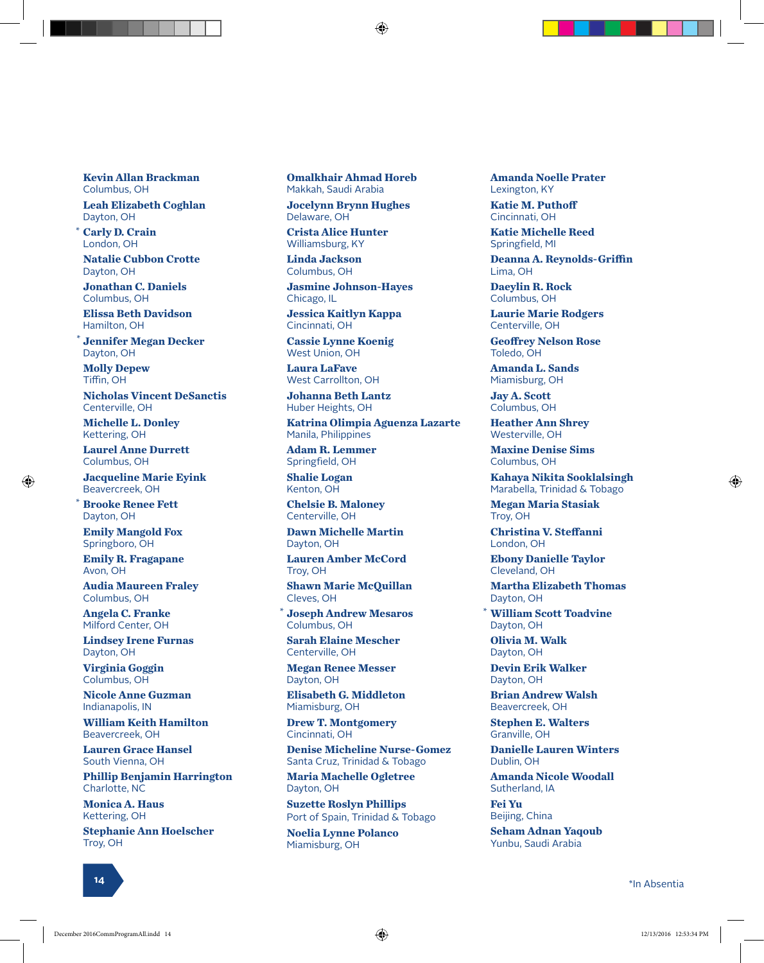**Kevin Allan Brackman** Columbus, OH **Leah Elizabeth Coghlan** Dayton, OH

**Carly D. Crain** \* London, OH

**Natalie Cubbon Crotte** Dayton, OH

**Jonathan C. Daniels** Columbus, OH

**Elissa Beth Davidson** Hamilton, OH

**Jennifer Megan Decker** Dayton, OH

**Molly Depew** Tiffin, OH

\*

\*

⊕

**Nicholas Vincent DeSanctis** Centerville, OH

**Michelle L. Donley** Kettering, OH

**Laurel Anne Durrett** Columbus, OH

**Jacqueline Marie Eyink** Beavercreek, OH

**Brooke Renee Fett** Dayton, OH

**Emily Mangold Fox** Springboro, OH

**Emily R. Fragapane** Avon, OH

**Audia Maureen Fraley** Columbus, OH

**Angela C. Franke** Milford Center, OH

**Lindsey Irene Furnas** Dayton, OH

**Virginia Goggin** Columbus, OH

**Nicole Anne Guzman** Indianapolis, IN

**William Keith Hamilton** Beavercreek, OH

**Lauren Grace Hansel** South Vienna, OH

**Phillip Benjamin Harrington** Charlotte, NC

**Monica A. Haus** Kettering, OH

**Stephanie Ann Hoelscher** Troy, OH

**Omalkhair Ahmad Horeb** Makkah, Saudi Arabia **Jocelynn Brynn Hughes**

Delaware, OH **Crista Alice Hunter** Williamsburg, KY

**Linda Jackson** Columbus, OH

**Jasmine Johnson-Hayes** Chicago, IL

**Jessica Kaitlyn Kappa** Cincinnati, OH

**Cassie Lynne Koenig** West Union, OH

**Laura LaFave** West Carrollton, OH

**Johanna Beth Lantz** Huber Heights, OH

**Katrina Olimpia Aguenza Lazarte** Manila, Philippines

**Adam R. Lemmer** Springfield, OH

**Shalie Logan** Kenton, OH

**Chelsie B. Maloney** Centerville, OH

**Dawn Michelle Martin** Dayton, OH

**Lauren Amber McCord** Troy, OH

**Shawn Marie McQuillan** Cleves, OH

**Joseph Andrew Mesaros** \* \* Columbus, OH

**Sarah Elaine Mescher** Centerville, OH

**Megan Renee Messer** Dayton, OH

**Elisabeth G. Middleton** Miamisburg, OH

**Drew T. Montgomery** Cincinnati, OH

**Denise Micheline Nurse-Gomez** Santa Cruz, Trinidad & Tobago

**Maria Machelle Ogletree** Dayton, OH

**Suzette Roslyn Phillips** Port of Spain, Trinidad & Tobago **Noelia Lynne Polanco**

Miamisburg, OH

**Amanda Noelle Prater** Lexington, KY

**Katie M. Puthoff** Cincinnati, OH

**Katie Michelle Reed** Springfield, MI

**Deanna A. Reynolds-Griffin** Lima, OH

**Daeylin R. Rock** Columbus, OH

**Laurie Marie Rodgers** Centerville, OH

**Geoffrey Nelson Rose** Toledo, OH

**Amanda L. Sands** Miamisburg, OH

**Jay A. Scott** Columbus, OH

**Heather Ann Shrey** Westerville, OH

**Maxine Denise Sims** Columbus, OH

**Kahaya Nikita Sooklalsingh** Marabella, Trinidad & Tobago

**Megan Maria Stasiak** Troy, OH

**Christina V. Steffanni** London, OH

**Ebony Danielle Taylor** Cleveland, OH

**Martha Elizabeth Thomas** Dayton, OH

**William Scott Toadvine** Dayton, OH

**Olivia M. Walk** Dayton, OH

**Devin Erik Walker** Dayton, OH

**Brian Andrew Walsh** Beavercreek, OH

**Stephen E. Walters** Granville, OH

**Danielle Lauren Winters** Dublin, OH

**Amanda Nicole Woodall** Sutherland, IA

**Fei Yu** Beijing, China

**Seham Adnan Yaqoub** Yunbu, Saudi Arabia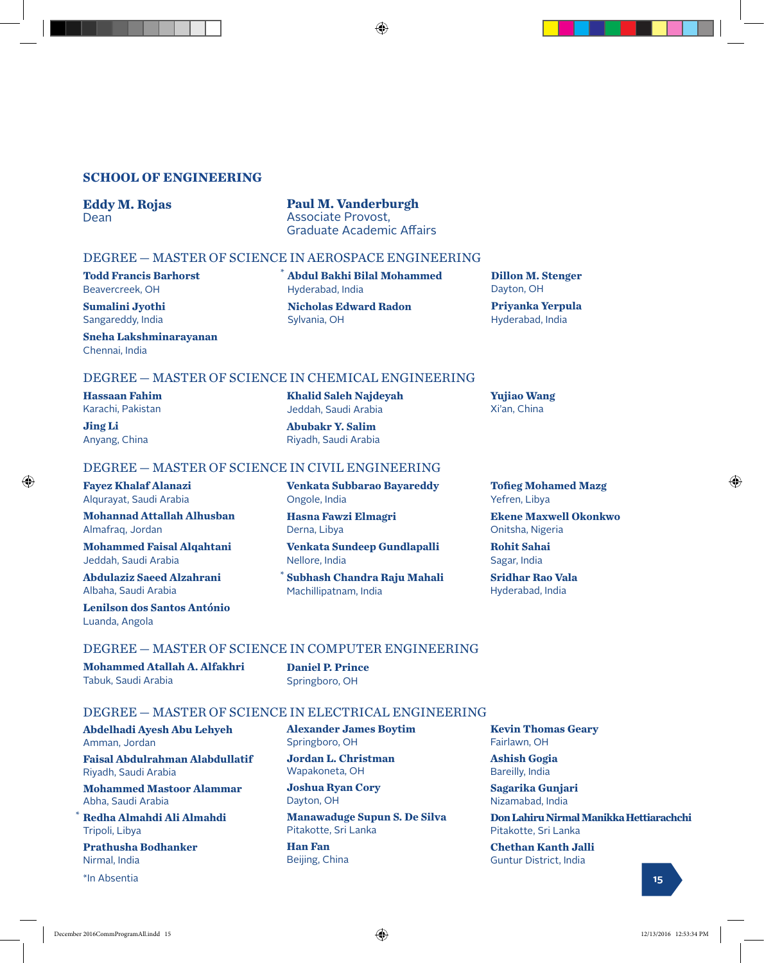#### **SCHOOL OF ENGINEERING**

#### **Eddy M. Rojas** Dean

**Paul M. Vanderburgh** Associate Provost, Graduate Academic Affairs

⊕

**Abdul Bakhi Bilal Mohammed** \*

**Nicholas Edward Radon**

**Khalid Saleh Najdeyah** Jeddah, Saudi Arabia **Abubakr Y. Salim** Riyadh, Saudi Arabia

Hyderabad, India

Sylvania, OH

#### DEGREE — MASTER OF SCIENCE IN AEROSPACE ENGINEERING

**Todd Francis Barhorst** Beavercreek, OH

**Sumalini Jyothi** Sangareddy, India

**Sneha Lakshminarayanan** Chennai, India

#### DEGREE — MASTER OF SCIENCE IN CHEMICAL ENGINEERING

**Hassaan Fahim** Karachi, Pakistan

**Jing Li** Anyang, China

⊕

#### DEGREE — MASTER OF SCIENCE IN CIVIL ENGINEERING

**Fayez Khalaf Alanazi** Alqurayat, Saudi Arabia

**Mohannad Attallah Alhusban** Almafraq, Jordan

**Mohammed Faisal Alqahtani** Jeddah, Saudi Arabia

**Abdulaziz Saeed Alzahrani** Albaha, Saudi Arabia

**Lenilson dos Santos António** Luanda, Angola

**Venkata Subbarao Bayareddy** Ongole, India **Hasna Fawzi Elmagri**

Derna, Libya **Venkata Sundeep Gundlapalli**

Nellore, India

**Subhash Chandra Raju Mahali** Machillipatnam, India \*

**Tofieg Mohamed Mazg** Yefren, Libya

**Dillon M. Stenger**

**Priyanka Yerpula** Hyderabad, India

Dayton, OH

**Yujiao Wang** Xi'an, China

**Ekene Maxwell Okonkwo** Onitsha, Nigeria

**Rohit Sahai** Sagar, India

**Sridhar Rao Vala** Hyderabad, India

#### DEGREE — MASTER OF SCIENCE IN COMPUTER ENGINEERING

**Mohammed Atallah A. Alfakhri** Tabuk, Saudi Arabia

**Daniel P. Prince** Springboro, OH

#### DEGREE — MASTER OF SCIENCE IN ELECTRICAL ENGINEERING

**Abdelhadi Ayesh Abu Lehyeh** Amman, Jordan

**Faisal Abdulrahman Alabdullatif** Riyadh, Saudi Arabia

**Mohammed Mastoor Alammar** Abha, Saudi Arabia

**Redha Almahdi Ali Almahdi** Tripoli, Libya

**Prathusha Bodhanker** Nirmal, India

\*In Absentia **15**

\*

**Alexander James Boytim** Springboro, OH

**Jordan L. Christman** Wapakoneta, OH

**Joshua Ryan Cory** Dayton, OH

**Manawaduge Supun S. De Silva** Pitakotte, Sri Lanka

**Han Fan** Beijing, China **Kevin Thomas Geary** Fairlawn, OH

**Ashish Gogia** Bareilly, India

**Sagarika Gunjari** Nizamabad, India

**Don Lahiru Nirmal Manikka Hettiarachchi** Pitakotte, Sri Lanka

**Chethan Kanth Jalli** Guntur District, India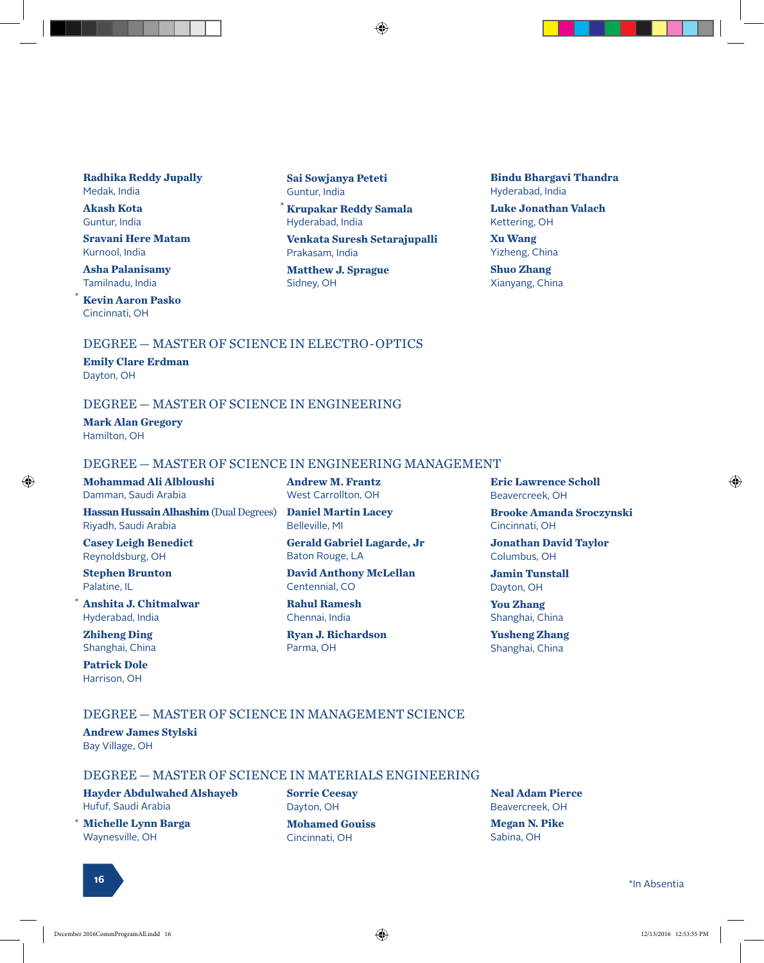#### **Radhika Reddy Jupally** Medak, India

**Akash Kota** Guntur, India

**Sravani Here Matam** Kurnool, India

**Asha Palanisamy** Tamilnadu, India

\*

**Kevin Aaron Pasko** Cincinnati, OH

**Sai Sowjanya Peteti** Guntur, India

\* **Krupakar Reddy Samala** Hyderabad, India

**Venkata Suresh Setarajupalli** Prakasam, India

⊕

**Matthew J. Sprague** Sidney, OH

**Bindu Bhargavi Thandra** Hyderabad, India

**Luke Jonathan Valach** Kettering, OH

**Xu Wang** Yizheng, China

**Shuo Zhang** Xianyang, China

#### DEGREE — MASTER OF SCIENCE IN ELECTRO-OPTICS

**Emily Clare Erdman** Dayton, OH

#### DEGREE — MASTER OF SCIENCE IN ENGINEERING

**Mark Alan Gregory** Hamilton, OH

#### DEGREE — MASTER OF SCIENCE IN ENGINEERING MANAGEMENT

#### **Mohammad Ali Albloushi**

**Hassan Hussain Alhashim** (Dual Degrees) Riyadh, Saudi Arabia

**Casey Leigh Benedict** Reynoldsburg, OH

Damman, Saudi Arabia

**Stephen Brunton** Palatine, IL

**Anshita J. Chitmalwar** Hyderabad, India \*

**Zhiheng Ding** Shanghai, China

**Patrick Dole** Harrison, OH

**Andrew M. Frantz** West Carrollton, OH **Daniel Martin Lacey**

Belleville, MI

**Gerald Gabriel Lagarde, Jr** Baton Rouge, LA

**David Anthony McLellan** Centennial, CO

**Rahul Ramesh** Chennai, India

**Ryan J. Richardson** Parma, OH

**Eric Lawrence Scholl** Beavercreek, OH

**Brooke Amanda Sroczynski** Cincinnati, OH

**Jonathan David Taylor** Columbus, OH

**Jamin Tunstall** Dayton, OH

**You Zhang** Shanghai, China

**Yusheng Zhang** Shanghai, China

#### DEGREE — MASTER OF SCIENCE IN MANAGEMENT SCIENCE

**Andrew James Stylski** Bay Village, OH

#### DEGREE — MASTER OF SCIENCE IN MATERIALS ENGINEERING

**Hayder Abdulwahed Alshayeb** Hufuf, Saudi Arabia

**Michelle Lynn Barga** Waynesville, OH

**Sorrie Ceesay** Dayton, OH **Mohamed Gouiss** Cincinnati, OH

**Neal Adam Pierce** Beavercreek, OH **Megan N. Pike** Sabina, OH

<sup>16</sup> \*In Absentia <sup>10</sup>

**16**

\*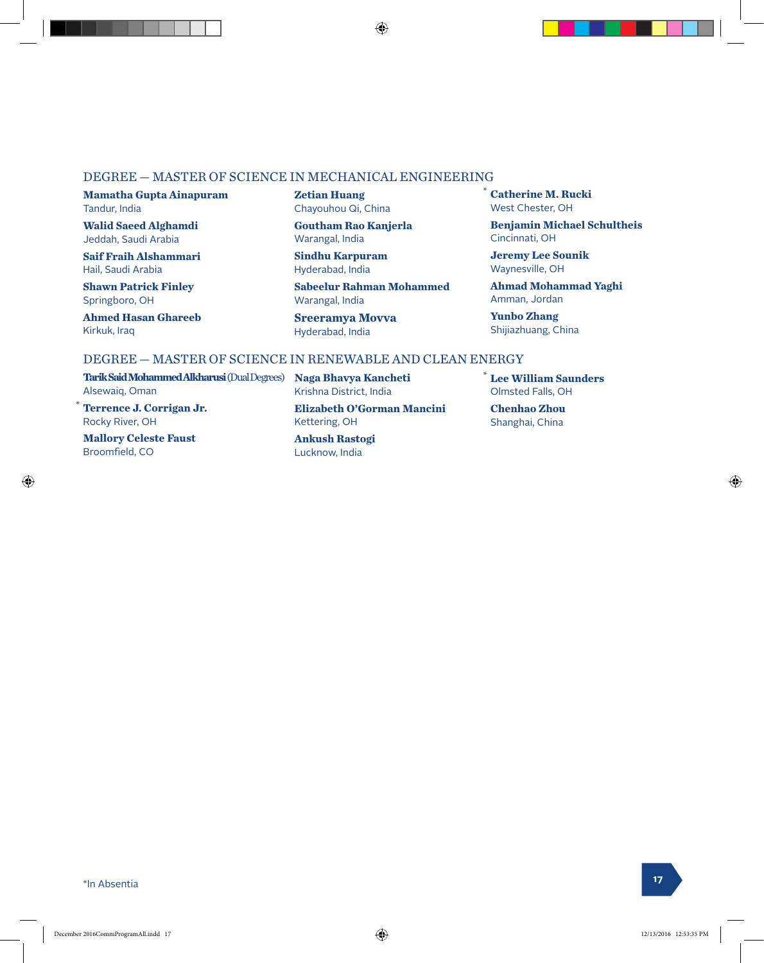#### DEGREE — MASTER OF SCIENCE IN MECHANICAL ENGINEERING

**Mamatha Gupta Ainapuram** Tandur, India

**Walid Saeed Alghamdi** Jeddah, Saudi Arabia

**Saif Fraih Alshammari** Hail, Saudi Arabia

**Shawn Patrick Finley** Springboro, OH

**Ahmed Hasan Ghareeb** Kirkuk, Iraq

**Zetian Huang** Chayouhou Qi, China

**Goutham Rao Kanjerla** Warangal, India

**Sindhu Karpuram** Hyderabad, India

**Sabeelur Rahman Mohammed** Warangal, India

**Sreeramya Movva** Hyderabad, India

⊕

**Benjamin Michael Schultheis** Cincinnati, OH

**Catherine M. Rucki** West Chester, OH

\*

**Jeremy Lee Sounik** Waynesville, OH

**Ahmad Mohammad Yaghi** Amman, Jordan

**Yunbo Zhang** Shijiazhuang, China

#### DEGREE — MASTER OF SCIENCE IN RENEWABLE AND CLEAN ENERGY

**Tarik Said Mohammed Alkharusi** (Dual Degrees) **Naga Bhavya Kancheti** Alsewaiq, Oman

**Terrence J. Corrigan Jr.** Rocky River, OH

**Mallory Celeste Faust** Broomfield, CO

Krishna District, India

**Elizabeth O'Gorman Mancini** Kettering, OH

**Ankush Rastogi** Lucknow, India

**Lee William Saunders** \* Olmsted Falls, OH

**Chenhao Zhou** Shanghai, China

⊕

\*

\*In Absentia **<sup>17</sup>**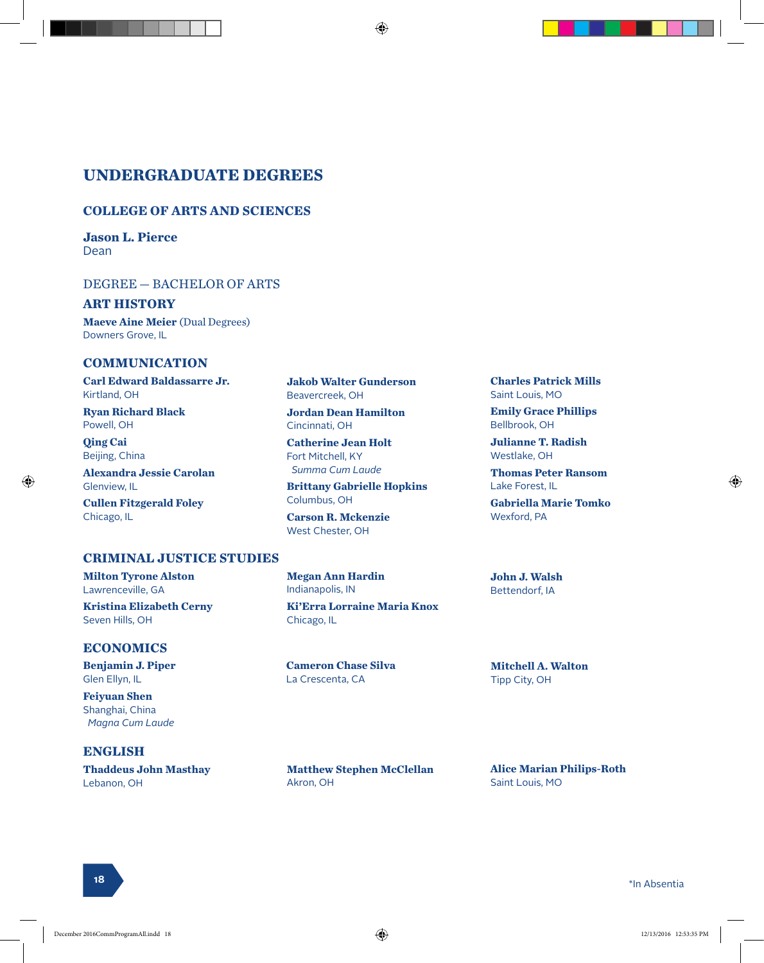#### **UNDERGRADUATE DEGREES**

#### **COLLEGE OF ARTS AND SCIENCES**

**Jason L. Pierce** Dean

#### DEGREE — BACHELOR OF ARTS

#### **ART HISTORY**

**Maeve Aine Meier** (Dual Degrees) Downers Grove, IL

#### **COMMUNICATION**

**Carl Edward Baldassarre Jr.** Kirtland, OH

**Ryan Richard Black** Powell, OH

**Qing Cai** Beijing, China

Chicago, IL

⊕

Seven Hills, OH

**ENGLISH**

Lebanon, OH

**ECONOMICS Benjamin J. Piper** Glen Ellyn, IL **Feiyuan Shen** Shanghai, China  *Magna Cum Laude*

**Alexandra Jessie Carolan** Glenview, IL **Cullen Fitzgerald Foley**

**Milton Tyrone Alston** Lawrenceville, GA

**Kristina Elizabeth Cerny**

**Thaddeus John Masthay**

**CRIMINAL JUSTICE STUDIES**

**Jakob Walter Gunderson** Beavercreek, OH

♠

**Jordan Dean Hamilton** Cincinnati, OH

**Catherine Jean Holt** Fort Mitchell, KY  *Summa Cum Laude*

**Brittany Gabrielle Hopkins** Columbus, OH

**Carson R. Mckenzie** West Chester, OH

**Megan Ann Hardin**

Indianapolis, IN **Ki'Erra Lorraine Maria Knox** Chicago, IL

**Cameron Chase Silva** La Crescenta, CA

**Matthew Stephen McClellan** Akron, OH

**Charles Patrick Mills** Saint Louis, MO

**Emily Grace Phillips** Bellbrook, OH

**Julianne T. Radish** Westlake, OH

**Thomas Peter Ransom** Lake Forest, IL

**Gabriella Marie Tomko** Wexford, PA

**John J. Walsh** Bettendorf, IA

**Mitchell A. Walton** Tipp City, OH

**Alice Marian Philips-Roth** Saint Louis, MO

<sup>18</sup> \*In Absentia <sup>10</sup>

**18**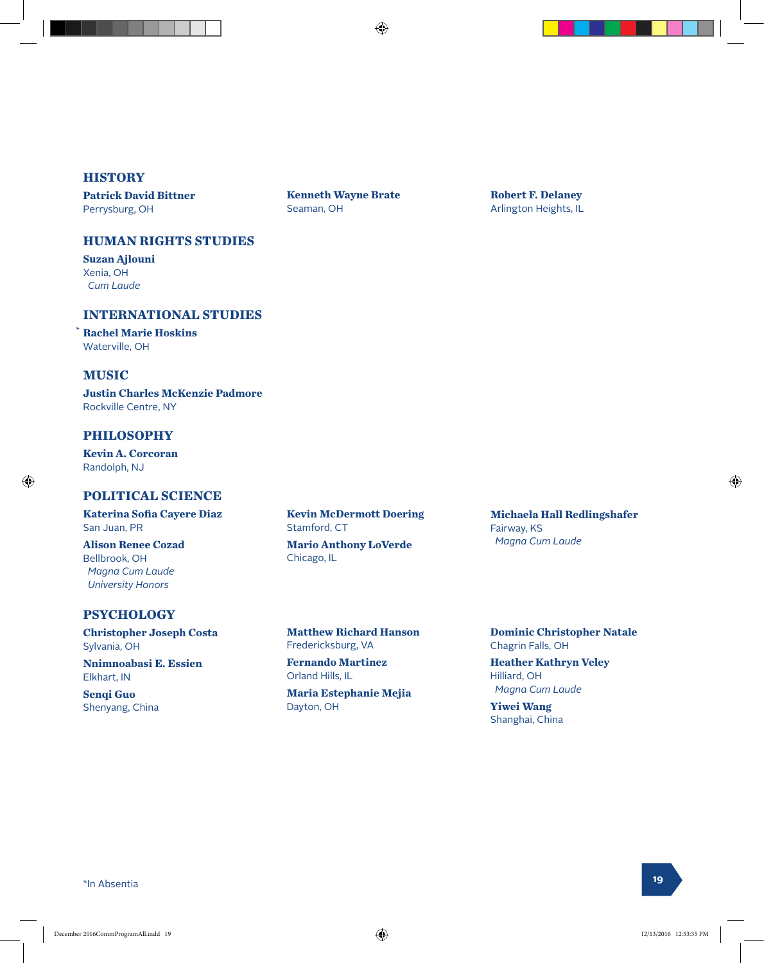**Kenneth Wayne Brate**

Seaman, OH

#### **HISTORY**

**Patrick David Bittner** Perrysburg, OH

#### **HUMAN RIGHTS STUDIES**

**Suzan Ajlouni** Xenia, OH  *Cum Laude*

#### **INTERNATIONAL STUDIES**

**Rachel Marie Hoskins** Waterville, OH

#### **MUSIC**

\*

⊕

**Justin Charles McKenzie Padmore** Rockville Centre, NY

#### **PHILOSOPHY**

**Kevin A. Corcoran** Randolph, NJ

#### **POLITICAL SCIENCE**

**Katerina Sofia Cayere Diaz** San Juan, PR

**Alison Renee Cozad** Bellbrook, OH  *Magna Cum Laude University Honors*

#### **PSYCHOLOGY**

**Christopher Joseph Costa** Sylvania, OH

**Nnimnoabasi E. Essien** Elkhart, IN

**Senqi Guo** Shenyang, China **Kevin McDermott Doering** Stamford, CT

**Mario Anthony LoVerde** Chicago, IL

**Matthew Richard Hanson** Fredericksburg, VA

**Fernando Martinez** Orland Hills, IL

**Maria Estephanie Mejia** Dayton, OH

**Michaela Hall Redlingshafer** Fairway, KS  *Magna Cum Laude*

**Robert F. Delaney** Arlington Heights, IL

**Dominic Christopher Natale** Chagrin Falls, OH

**Heather Kathryn Veley** Hilliard, OH  *Magna Cum Laude*

**Yiwei Wang** Shanghai, China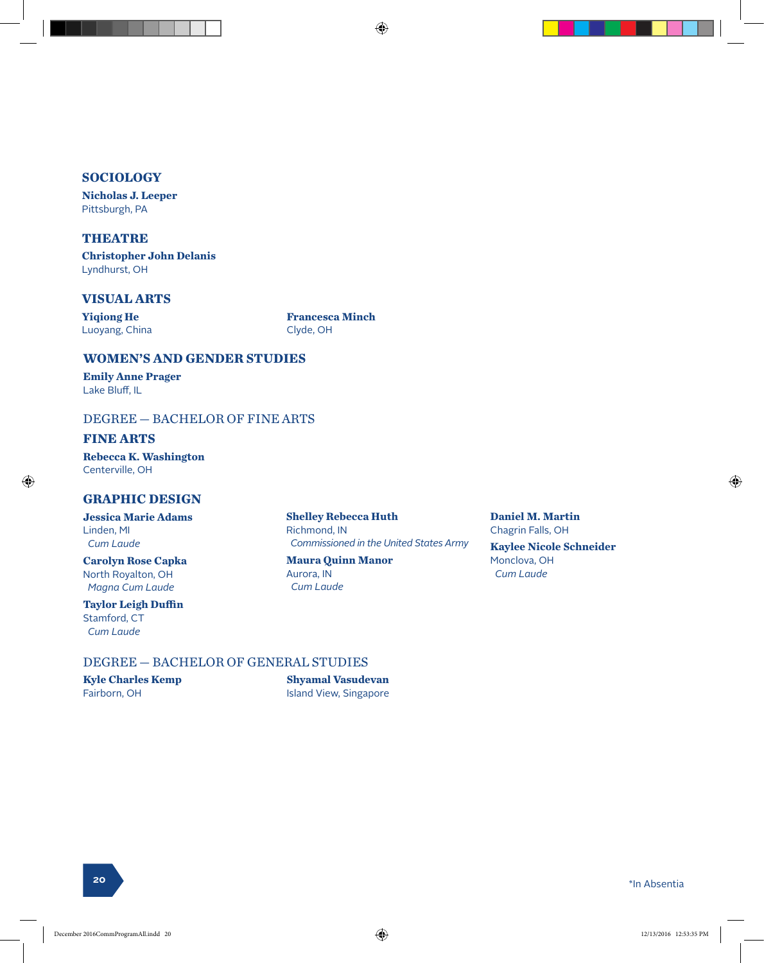#### **SOCIOLOGY**

**Nicholas J. Leeper** Pittsburgh, PA

#### **THEATRE**

**Christopher John Delanis** Lyndhurst, OH

#### **VISUAL ARTS**

**Yiqiong He** Luoyang, China **Francesca Minch** Clyde, OH

#### **WOMEN'S AND GENDER STUDIES**

**Emily Anne Prager** Lake Bluff, IL

#### DEGREE — BACHELOR OF FINE ARTS

#### **FINE ARTS**

⊕

**Rebecca K. Washington** Centerville, OH

#### **GRAPHIC DESIGN**

**Jessica Marie Adams** Linden, MI  *Cum Laude*

**Carolyn Rose Capka** North Royalton, OH  *Magna Cum Laude*

**Taylor Leigh Duffin** Stamford, CT  *Cum Laude*

**Shelley Rebecca Huth** Richmond, IN  *Commissioned in the United States Army*

⊕

**Maura Quinn Manor** Aurora, IN  *Cum Laude*

**Daniel M. Martin** Chagrin Falls, OH **Kaylee Nicole Schneider** Monclova, OH  *Cum Laude*

#### DEGREE — BACHELOR OF GENERAL STUDIES

**Kyle Charles Kemp** Fairborn, OH

**Shyamal Vasudevan** Island View, Singapore ♠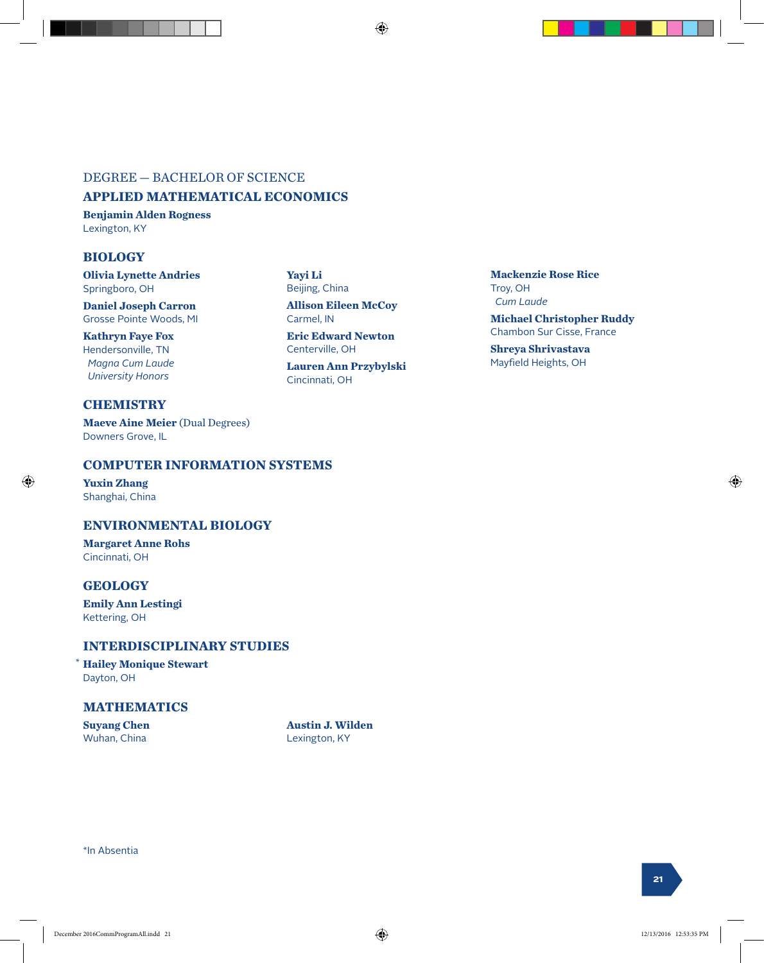#### DEGREE — BACHELOR OF SCIENCE

#### **APPLIED MATHEMATICAL ECONOMICS**

**Benjamin Alden Rogness** Lexington, KY

#### **BIOLOGY**

**Olivia Lynette Andries** Springboro, OH

**Daniel Joseph Carron** Grosse Pointe Woods, MI

**Kathryn Faye Fox** Hendersonville, TN  *Magna Cum Laude University Honors*

#### **CHEMISTRY**

**Maeve Aine Meier** (Dual Degrees) Downers Grove, IL

#### **COMPUTER INFORMATION SYSTEMS**

**Yuxin Zhang** Shanghai, China

⊕

#### **ENVIRONMENTAL BIOLOGY**

**Margaret Anne Rohs** Cincinnati, OH

#### **GEOLOGY**

**Emily Ann Lestingi** Kettering, OH

#### **INTERDISCIPLINARY STUDIES**

**Hailey Monique Stewart** \* Dayton, OH

#### **MATHEMATICS**

**Suyang Chen** Wuhan, China

**Austin J. Wilden** Lexington, KY

\*In Absentia

#### **Yayi Li** Beijing, China **Allison Eileen McCoy** Carmel, IN **Eric Edward Newton** Centerville, OH

**Lauren Ann Przybylski** Cincinnati, OH

**Mackenzie Rose Rice** Troy, OH  *Cum Laude*

**Michael Christopher Ruddy** Chambon Sur Cisse, France

**Shreya Shrivastava** Mayfield Heights, OH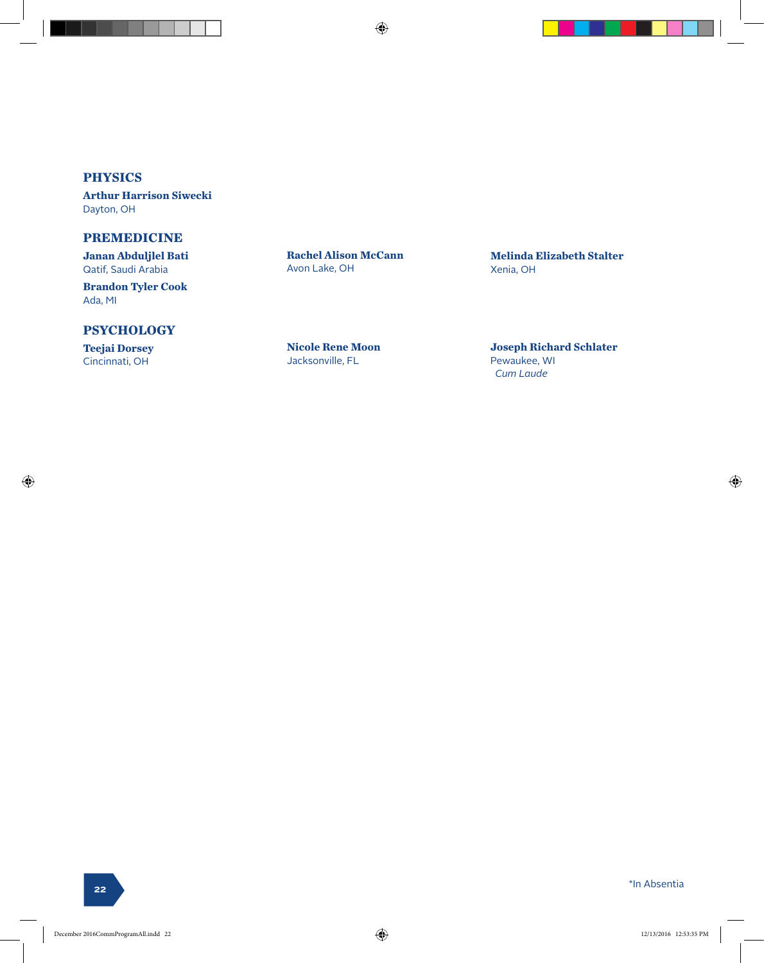$\bigoplus$ 

#### **PHYSICS**

**Arthur Harrison Siwecki** Dayton, OH

#### **PREMEDICINE**

**Janan Abduljlel Bati** Qatif, Saudi Arabia

**Brandon Tyler Cook** Ada, MI

#### **PSYCHOLOGY**

**Teejai Dorsey** Cincinnati, OH

⊕

**Rachel Alison McCann** Avon Lake, OH

**Nicole Rene Moon** Jacksonville, FL

**Melinda Elizabeth Stalter** Xenia, OH

**Joseph Richard Schlater** Pewaukee, WI  *Cum Laude*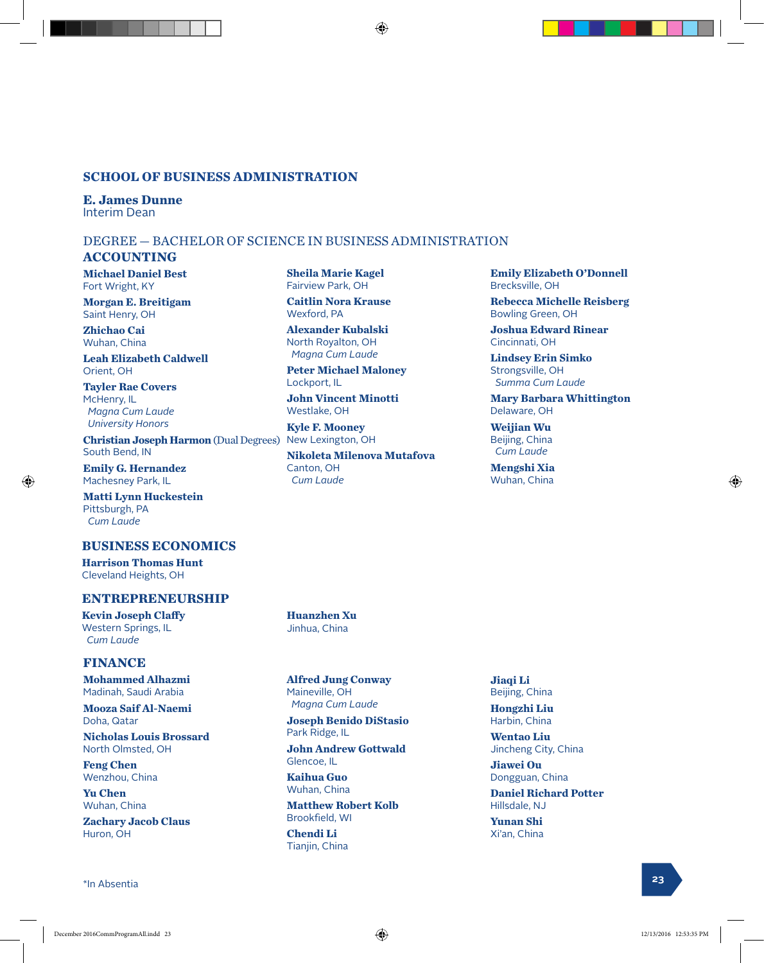#### **SCHOOL OF BUSINESS ADMINISTRATION**

**E. James Dunne** Interim Dean

#### DEGREE — BACHELOR OF SCIENCE IN BUSINESS ADMINISTRATION

#### **ACCOUNTING**

**Michael Daniel Best** Fort Wright, KY

**Morgan E. Breitigam** Saint Henry, OH

**Zhichao Cai** Wuhan, China

**Leah Elizabeth Caldwell** Orient, OH

**Tayler Rae Covers** McHenry, IL  *Magna Cum Laude University Honors*

**Christian Joseph Harmon** (Dual Degrees) New Lexington, OH South Bend, IN

**Emily G. Hernandez** Machesney Park, IL

⊕

**Matti Lynn Huckestein** Pittsburgh, PA  *Cum Laude*

#### **BUSINESS ECONOMICS**

**Harrison Thomas Hunt** Cleveland Heights, OH

#### **ENTREPRENEURSHIP**

**Kevin Joseph Claffy** Western Springs, IL  *Cum Laude*

#### **FINANCE**

**Mohammed Alhazmi** Madinah, Saudi Arabia

**Mooza Saif Al-Naemi** Doha, Qatar

**Nicholas Louis Brossard** North Olmsted, OH

**Feng Chen** Wenzhou, China

**Yu Chen** Wuhan, China

**Zachary Jacob Claus** Huron, OH

\*In Absentia **<sup>23</sup>**

**Sheila Marie Kagel** Fairview Park, OH

⊕

**Caitlin Nora Krause** Wexford, PA

**Alexander Kubalski** North Royalton, OH  *Magna Cum Laude*

**Peter Michael Maloney** Lockport, IL

**John Vincent Minotti** Westlake, OH

**Kyle F. Mooney**

**Nikoleta Milenova Mutafova** Canton, OH  *Cum Laude*

**Huanzhen Xu** Jinhua, China

**Alfred Jung Conway** Maineville, OH  *Magna Cum Laude*

**Joseph Benido DiStasio** Park Ridge, IL

**John Andrew Gottwald** Glencoe, IL

**Kaihua Guo** Wuhan, China

**Matthew Robert Kolb** Brookfield, WI

**Chendi Li** Tianjin, China

**Jiaqi Li** Beijing, China

**Hongzhi Liu** Harbin, China

**Wentao Liu** Jincheng City, China

**Jiawei Ou** Dongguan, China

**Daniel Richard Potter** Hillsdale, NJ

**Yunan Shi** Xi'an, China

Œ

**Emily Elizabeth O'Donnell**

**Rebecca Michelle Reisberg**

**Mary Barbara Whittington**

**Joshua Edward Rinear**

**Lindsey Erin Simko** Strongsville, OH  *Summa Cum Laude*

Brecksville, OH

Cincinnati, OH

Delaware, OH **Weijian Wu** Beijing, China  *Cum Laude* **Mengshi Xia** Wuhan, China

Bowling Green, OH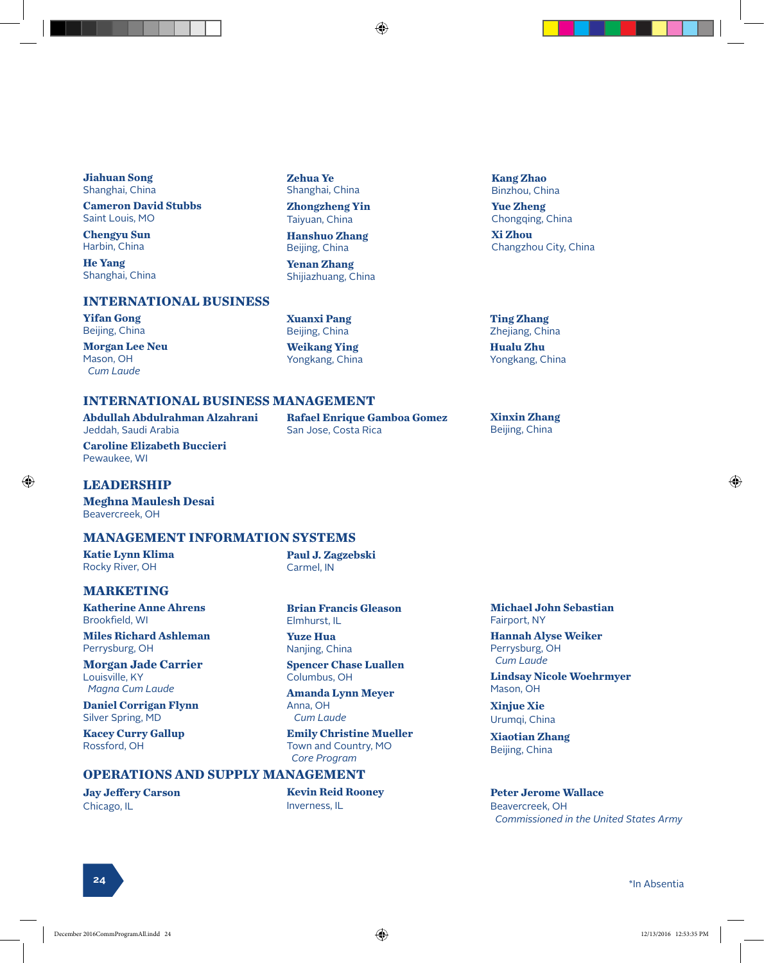**Jiahuan Song** Shanghai, China

**Cameron David Stubbs** Saint Louis, MO

**Chengyu Sun** Harbin, China

**He Yang** Shanghai, China

#### **INTERNATIONAL BUSINESS**

**Yifan Gong** Beijing, China

**Morgan Lee Neu** Mason, OH  *Cum Laude*

#### **Zehua Ye** Shanghai, China **Zhongzheng Yin**

Taiyuan, China **Hanshuo Zhang**

Beijing, China

**Yenan Zhang** Shijiazhuang, China

**Xuanxi Pang** Beijing, China

**Weikang Ying** Yongkang, China

San Jose, Costa Rica

**Rafael Enrique Gamboa Gomez**

#### **Kang Zhao** Binzhou, China **Yue Zheng** Chongqing, China **Xi Zhou** Changzhou City, China

**Ting Zhang** Zhejiang, China

**Hualu Zhu** Yongkang, China

**Xinxin Zhang** Beijing, China

#### **INTERNATIONAL BUSINESS MANAGEMENT**

**Abdullah Abdulrahman Alzahrani** Jeddah, Saudi Arabia

**Caroline Elizabeth Buccieri** Pewaukee, WI

#### **LEADERSHIP**

⊕

**Meghna Maulesh Desai** Beavercreek, OH

#### **MANAGEMENT INFORMATION SYSTEMS**

**Katie Lynn Klima** Rocky River, OH

**Paul J. Zagzebski** Carmel, IN

#### **MARKETING**

**Katherine Anne Ahrens** Brookfield, WI

**Miles Richard Ashleman** Perrysburg, OH

**Morgan Jade Carrier** Louisville, KY  *Magna Cum Laude*

**Daniel Corrigan Flynn** Silver Spring, MD

**Kacey Curry Gallup** Rossford, OH

**Jay Jeffery Carson** Chicago, IL

#### **Brian Francis Gleason** Elmhurst, IL

**Yuze Hua** Nanjing, China

**Spencer Chase Luallen** Columbus, OH

**Amanda Lynn Meyer** Anna, OH  *Cum Laude*

**Emily Christine Mueller** Town and Country, MO  *Core Program* 

#### **OPERATIONS AND SUPPLY MANAGEMENT**

**Kevin Reid Rooney** Inverness, IL

**Michael John Sebastian** Fairport, NY

**Hannah Alyse Weiker** Perrysburg, OH  *Cum Laude*

**Lindsay Nicole Woehrmyer** Mason, OH

**Xinjue Xie** Urumqi, China

**Xiaotian Zhang** Beijing, China

**Peter Jerome Wallace** Beavercreek, OH  *Commissioned in the United States Army*

**24**

e de la provincia de la provincia de la provincia de la provincia de la provincia de la provincia de la provincia de la provincia de la provincia de la provincia de la provincia de la provincia de la provincia de la provin

♠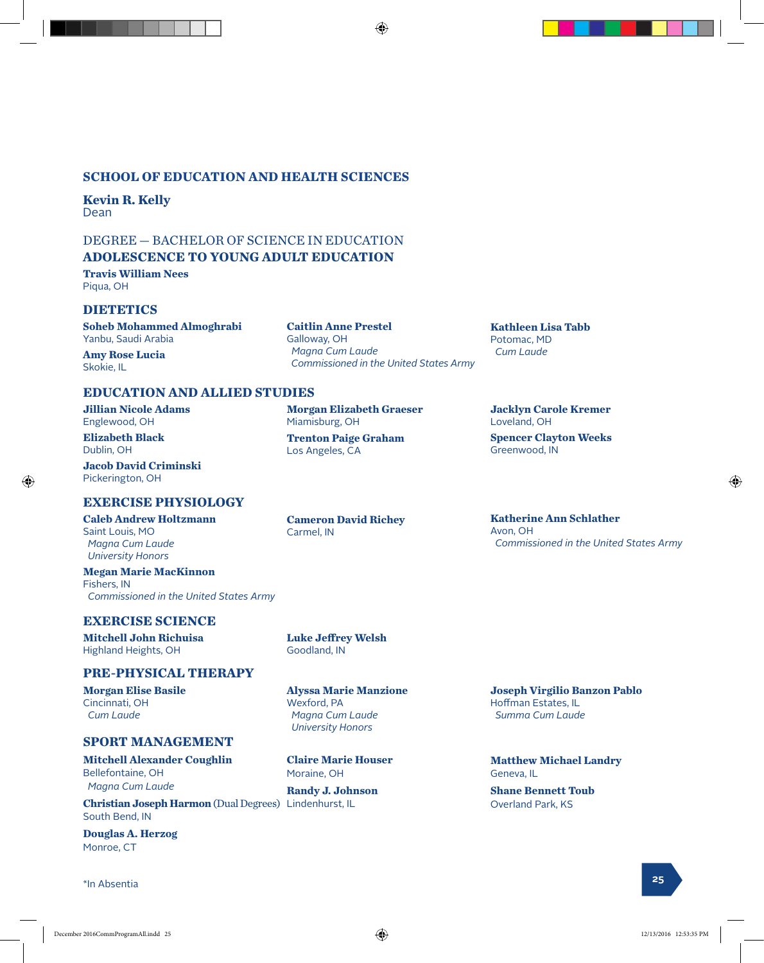#### **SCHOOL OF EDUCATION AND HEALTH SCIENCES**

**Kevin R. Kelly** Dean

#### DEGREE — BACHELOR OF SCIENCE IN EDUCATION **ADOLESCENCE TO YOUNG ADULT EDUCATION**

**Travis William Nees**

Piqua, OH

#### **DIETETICS**

**Soheb Mohammed Almoghrabi** Yanbu, Saudi Arabia

**Amy Rose Lucia** Skokie, IL

**EDUCATION AND ALLIED STUDIES**

**Jillian Nicole Adams** Englewood, OH

**Elizabeth Black** Dublin, OH

**Jacob David Criminski** Pickerington, OH

#### **EXERCISE PHYSIOLOGY**

**Caleb Andrew Holtzmann** Saint Louis, MO  *Magna Cum Laude University Honors*

**Megan Marie MacKinnon** Fishers, IN  *Commissioned in the United States Army* 

#### **EXERCISE SCIENCE**

**Mitchell John Richuisa** Highland Heights, OH

#### **PRE-PHYSICAL THERAPY**

**Morgan Elise Basile** Cincinnati, OH  *Cum Laude*

#### **SPORT MANAGEMENT**

**Mitchell Alexander Coughlin** Bellefontaine, OH  *Magna Cum Laude*

**Christian Joseph Harmon** (Dual Degrees) Lindenhurst, IL South Bend, IN

**Douglas A. Herzog** Monroe, CT

\*In Absentia **<sup>25</sup>**

**Morgan Elizabeth Graeser**

**Trenton Paige Graham**

**Caitlin Anne Prestel**

 *Commissioned in the United States Army*

⊕

Galloway, OH  *Magna Cum Laude*

Miamisburg, OH

Los Angeles, CA

**Cameron David Richey** Carmel, IN

**Kathleen Lisa Tabb**

Potomac, MD  *Cum Laude*

**Jacklyn Carole Kremer** Loveland, OH

**Spencer Clayton Weeks** Greenwood, IN

**Katherine Ann Schlather** Avon, OH  *Commissioned in the United States Army*

Goodland, IN

**Luke Jeffrey Welsh**

**Alyssa Marie Manzione** Wexford, PA  *Magna Cum Laude University Honors*

**Claire Marie Houser** Moraine, OH

**Randy J. Johnson**

**Joseph Virgilio Banzon Pablo** Hoffman Estates, IL  *Summa Cum Laude*

**Matthew Michael Landry** Geneva, IL

**Shane Bennett Toub** Overland Park, KS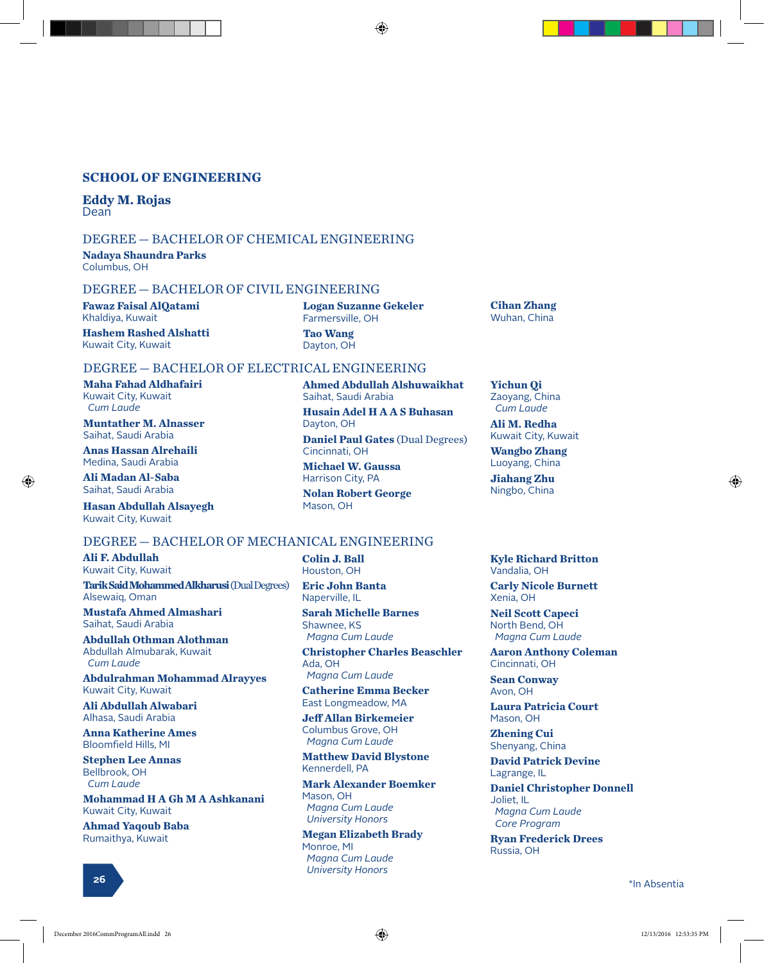#### **SCHOOL OF ENGINEERING**

**Eddy M. Rojas** Dean

#### DEGREE — BACHELOR OF CHEMICAL ENGINEERING

**Nadaya Shaundra Parks** Columbus, OH

#### DEGREE — BACHELOR OF CIVIL ENGINEERING

**Fawaz Faisal AlQatami** Khaldiya, Kuwait

**Hashem Rashed Alshatti** Kuwait City, Kuwait

**Logan Suzanne Gekeler** Farmersville, OH **Tao Wang**

Saihat, Saudi Arabia

**Nolan Robert George**

**Ahmed Abdullah Alshuwaikhat**

**Husain Adel H A A S Buhasan**

**Daniel Paul Gates** (Dual Degrees)

Dayton, OH

Dayton, OH

Mason, OH

Cincinnati, OH **Michael W. Gaussa** Harrison City, PA

#### DEGREE — BACHELOR OF ELECTRICAL ENGINEERING

**Maha Fahad Aldhafairi** Kuwait City, Kuwait  *Cum Laude*

**Muntather M. Alnasser** Saihat, Saudi Arabia

**Anas Hassan Alrehaili** Medina, Saudi Arabia

**Ali Madan Al-Saba** Saihat, Saudi Arabia

⊕

**Hasan Abdullah Alsayegh** Kuwait City, Kuwait

#### DEGREE — BACHELOR OF MECHANICAL ENGINEERING

**Ali F. Abdullah** Kuwait City, Kuwait **Tarik Said Mohammed Alkharusi** (Dual Degrees)

Alsewaiq, Oman **Mustafa Ahmed Almashari** Saihat, Saudi Arabia

**Abdullah Othman Alothman** Abdullah Almubarak, Kuwait  *Cum Laude*

**Abdulrahman Mohammad Alrayyes** Kuwait City, Kuwait

**Ali Abdullah Alwabari** Alhasa, Saudi Arabia

**Anna Katherine Ames** Bloomfield Hills, MI

**Stephen Lee Annas** Bellbrook, OH  *Cum Laude*

**Mohammad H A Gh M A Ashkanani** Kuwait City, Kuwait

**Ahmad Yaqoub Baba** Rumaithya, Kuwait

**Colin J. Ball** Houston, OH

**Eric John Banta** Naperville, IL

**Sarah Michelle Barnes** Shawnee, KS  *Magna Cum Laude*

**Christopher Charles Beaschler** Ada, OH  *Magna Cum Laude*

**Catherine Emma Becker** East Longmeadow, MA

**Jeff Allan Birkemeier** Columbus Grove, OH  *Magna Cum Laude*

**Matthew David Blystone** Kennerdell, PA

**Mark Alexander Boemker** Mason, OH  *Magna Cum Laude University Honors*

**Megan Elizabeth Brady** Monroe, MI  *Magna Cum Laude University Honors*

**Cihan Zhang** Wuhan, China

**Yichun Qi** Zaoyang, China  *Cum Laude*

**Ali M. Redha** Kuwait City, Kuwait

**Wangbo Zhang** Luoyang, China

**Jiahang Zhu** Ningbo, China

**Kyle Richard Britton** Vandalia, OH

**Carly Nicole Burnett** Xenia, OH

**Neil Scott Capeci** North Bend, OH  *Magna Cum Laude*

**Aaron Anthony Coleman** Cincinnati, OH

**Sean Conway** Avon, OH

**Laura Patricia Court** Mason, OH

**Zhening Cui** Shenyang, China

**David Patrick Devine** Lagrange, IL

**Daniel Christopher Donnell** Joliet, IL  *Magna Cum Laude Core Program*

**Ryan Frederick Drees** Russia, OH

**<sup>26</sup>** \*In Absentia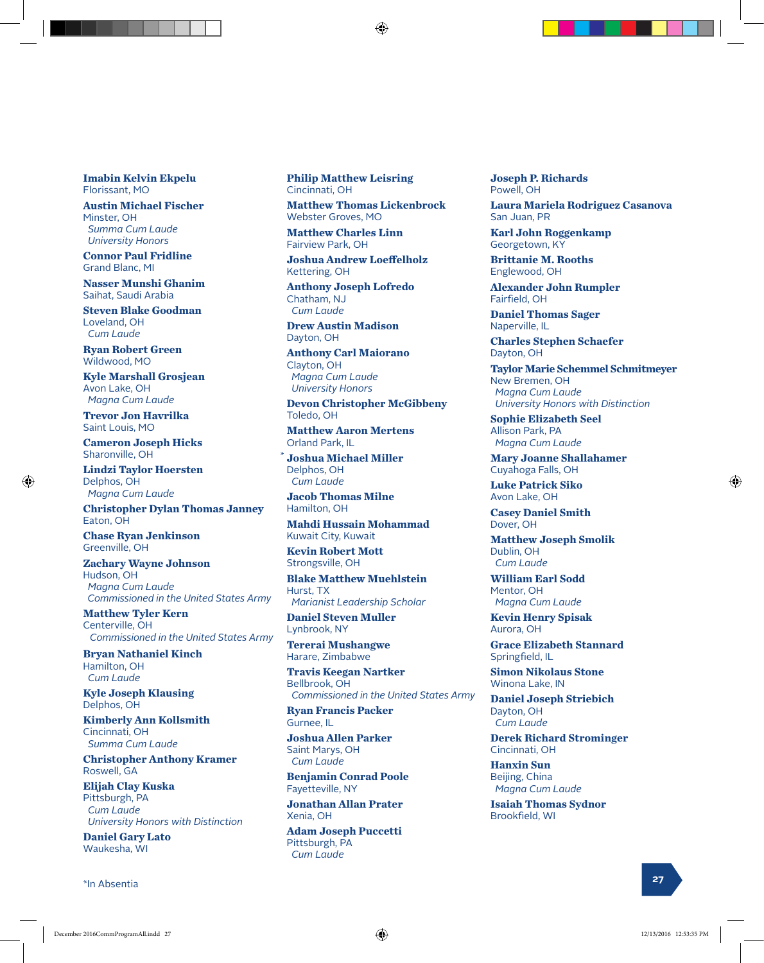**Imabin Kelvin Ekpelu** Florissant, MO

**Austin Michael Fischer** Minster, OH  *Summa Cum Laude University Honors*

**Connor Paul Fridline** Grand Blanc, MI

**Nasser Munshi Ghanim** Saihat, Saudi Arabia

**Steven Blake Goodman** Loveland, OH  *Cum Laude*

**Ryan Robert Green** Wildwood, MO

**Kyle Marshall Grosjean** Avon Lake, OH  *Magna Cum Laude*

**Trevor Jon Havrilka** Saint Louis, MO

**Cameron Joseph Hicks** Sharonville, OH

**Lindzi Taylor Hoersten** Delphos, OH  *Magna Cum Laude*

⊕

**Christopher Dylan Thomas Janney** Eaton, OH

**Chase Ryan Jenkinson** Greenville, OH

**Zachary Wayne Johnson** Hudson, OH  *Magna Cum Laude Commissioned in the United States Army*

**Matthew Tyler Kern** Centerville, OH  *Commissioned in the United States Army*

**Bryan Nathaniel Kinch** Hamilton, OH  *Cum Laude*

**Kyle Joseph Klausing** Delphos, OH

**Kimberly Ann Kollsmith** Cincinnati, OH  *Summa Cum Laude*

**Christopher Anthony Kramer**  Roswell, GA

**Elijah Clay Kuska** Pittsburgh, PA  *Cum Laude University Honors with Distinction*

**Daniel Gary Lato** Waukesha, WI

**<sup>27</sup>** \*In Absentia

**Philip Matthew Leisring** Cincinnati, OH

**Matthew Thomas Lickenbrock** Webster Groves, MO

**Matthew Charles Linn** Fairview Park, OH

**Joshua Andrew Loeffelholz** Kettering, OH

**Anthony Joseph Lofredo** Chatham, NJ  *Cum Laude*

**Drew Austin Madison** Dayton, OH

**Anthony Carl Maiorano** Clayton, OH  *Magna Cum Laude University Honors*

**Devon Christopher McGibbeny** Toledo, OH

**Matthew Aaron Mertens** Orland Park, IL

**Joshua Michael Miller** Delphos, OH  *Cum Laude* \*

**Jacob Thomas Milne** Hamilton, OH

**Mahdi Hussain Mohammad** Kuwait City, Kuwait

**Kevin Robert Mott** Strongsville, OH

**Blake Matthew Muehlstein** Hurst, TX  *Marianist Leadership Scholar* 

**Daniel Steven Muller** Lynbrook, NY

**Tererai Mushangwe** Harare, Zimbabwe

**Travis Keegan Nartker** Bellbrook, OH  *Commissioned in the United States Army*

**Ryan Francis Packer** Gurnee, IL

**Joshua Allen Parker** Saint Marys, OH  *Cum Laude*

**Benjamin Conrad Poole** Fayetteville, NY

**Jonathan Allan Prater** Xenia, OH

**Adam Joseph Puccetti** Pittsburgh, PA  *Cum Laude*

**Joseph P. Richards** Powell, OH

**Laura Mariela Rodriguez Casanova** San Juan, PR

**Karl John Roggenkamp** Georgetown, KY

**Brittanie M. Rooths** Englewood, OH

**Alexander John Rumpler** Fairfield, OH

**Daniel Thomas Sager** Naperville, IL

**Charles Stephen Schaefer** Dayton, OH

**Taylor Marie Schemmel Schmitmeyer** New Bremen, OH  *Magna Cum Laude University Honors with Distinction*

**Sophie Elizabeth Seel** Allison Park, PA  *Magna Cum Laude*

**Mary Joanne Shallahamer** Cuyahoga Falls, OH

**Luke Patrick Siko** Avon Lake, OH

**Casey Daniel Smith** Dover, OH

**Matthew Joseph Smolik** Dublin, OH  *Cum Laude*

**William Earl Sodd** Mentor, OH  *Magna Cum Laude*

**Kevin Henry Spisak** Aurora, OH

**Grace Elizabeth Stannard** Springfield, IL

**Simon Nikolaus Stone** Winona Lake, IN

**Daniel Joseph Striebich** Dayton, OH  *Cum Laude*

**Derek Richard Strominger** Cincinnati, OH

**Hanxin Sun** Beijing, China  *Magna Cum Laude*

**Isaiah Thomas Sydnor** Brookfield, WI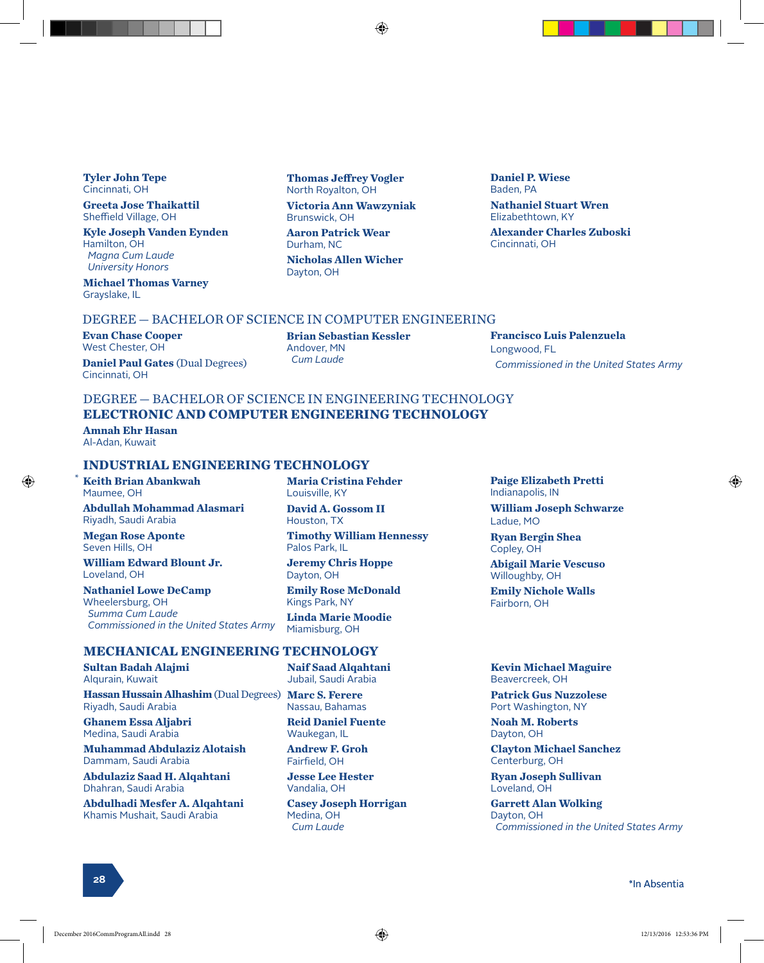**Tyler John Tepe** Cincinnati, OH

**Greeta Jose Thaikattil** Sheffield Village, OH

**Kyle Joseph Vanden Eynden** Hamilton, OH  *Magna Cum Laude University Honors*

**Michael Thomas Varney** Grayslake, IL

**Thomas Jeffrey Vogler** North Royalton, OH

**Victoria Ann Wawzyniak** Brunswick, OH

**Aaron Patrick Wear** Durham, NC **Nicholas Allen Wicher** Dayton, OH

**Daniel P. Wiese** Baden, PA **Nathaniel Stuart Wren** Elizabethtown, KY **Alexander Charles Zuboski** Cincinnati, OH

#### DEGREE — BACHELOR OF SCIENCE IN COMPUTER ENGINEERING

**Evan Chase Cooper** West Chester, OH

**Daniel Paul Gates** (Dual Degrees) Cincinnati, OH

**Brian Sebastian Kessler** Andover, MN  *Cum Laude*

**Francisco Luis Palenzuela** Longwood, FL  *Commissioned in the United States Army*

#### DEGREE — BACHELOR OF SCIENCE IN ENGINEERING TECHNOLOGY **ELECTRONIC AND COMPUTER ENGINEERING TECHNOLOGY**

**Amnah Ehr Hasan** Al-Adan, Kuwait

\*

⊕

#### **INDUSTRIAL ENGINEERING TECHNOLOGY**

**Keith Brian Abankwah** Maumee, OH

**Abdullah Mohammad Alasmari** Riyadh, Saudi Arabia

**Megan Rose Aponte** Seven Hills, OH

**William Edward Blount Jr.** Loveland, OH

**Nathaniel Lowe DeCamp** Wheelersburg, OH  *Summa Cum Laude Commissioned in the United States Army* **Maria Cristina Fehder** Louisville, KY

**David A. Gossom II** Houston, TX

**Timothy William Hennessy** Palos Park, IL

**Jeremy Chris Hoppe** Dayton, OH

**Emily Rose McDonald** Kings Park, NY

**Linda Marie Moodie** Miamisburg, OH

#### **MECHANICAL ENGINEERING TECHNOLOGY**

**Sultan Badah Alajmi** Alqurain, Kuwait

**Hassan Hussain Alhashim** (Dual Degrees) **Marc S. Ferere** Riyadh, Saudi Arabia

**Ghanem Essa Aljabri** Medina, Saudi Arabia

**Muhammad Abdulaziz Alotaish** Dammam, Saudi Arabia

**Abdulaziz Saad H. Alqahtani** Dhahran, Saudi Arabia

**Abdulhadi Mesfer A. Alqahtani** Khamis Mushait, Saudi Arabia

**Naif Saad Alqahtani** Jubail, Saudi Arabia

Nassau, Bahamas

**Reid Daniel Fuente** Waukegan, IL

**Andrew F. Groh** Fairfield, OH

**Jesse Lee Hester** Vandalia, OH

**Casey Joseph Horrigan** Medina, OH  *Cum Laude*

**Paige Elizabeth Pretti**

**Abigail Marie Vescuso**

**Emily Nichole Walls**

**William Joseph Schwarze**

Indianapolis, IN

**Ryan Bergin Shea**

Ladue, MO

Copley, OH

Willoughby, OH

Fairborn, OH

**Kevin Michael Maguire** Beavercreek, OH

**Patrick Gus Nuzzolese** Port Washington, NY

**Noah M. Roberts** Dayton, OH

**Clayton Michael Sanchez** Centerburg, OH

**Ryan Joseph Sullivan** Loveland, OH

**Garrett Alan Wolking** Dayton, OH  *Commissioned in the United States Army*

#### \*In Absentia **<sup>28</sup>**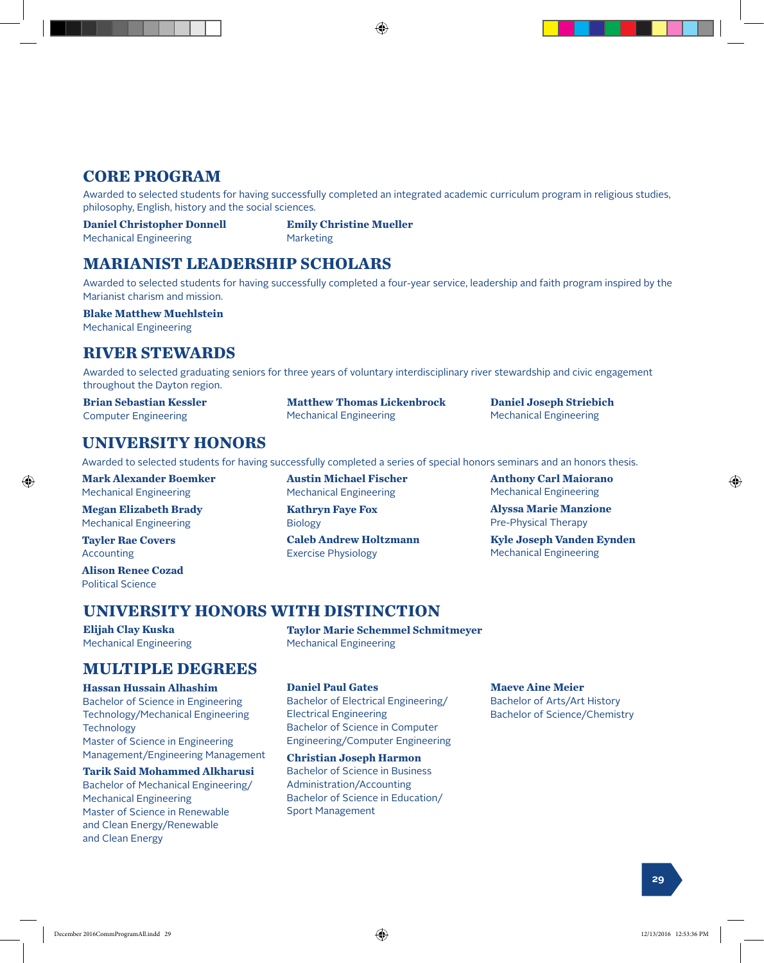## **CORE PROGRAM**

Awarded to selected students for having successfully completed an integrated academic curriculum program in religious studies, philosophy, English, history and the social sciences.

**Daniel Christopher Donnell**  Mechanical Engineering

**Emily Christine Mueller** Marketing

#### **MARIANIST LEADERSHIP SCHOLARS**

Awarded to selected students for having successfully completed a four-year service, leadership and faith program inspired by the Marianist charism and mission.

#### **Blake Matthew Muehlstein**

Mechanical Engineering

#### **RIVER STEWARDS**

Awarded to selected graduating seniors for three years of voluntary interdisciplinary river stewardship and civic engagement throughout the Dayton region.

**Matthew Thomas Lickenbrock**

**Brian Sebastian Kessler** Computer Engineering

**UNIVERSITY HONORS**

Awarded to selected students for having successfully completed a series of special honors seminars and an honors thesis.

**Mark Alexander Boemker** Mechanical Engineering

**Megan Elizabeth Brady** Mechanical Engineering

**Tayler Rae Covers** Accounting

**Alison Renee Cozad** Political Science

**Elijah Clay Kuska**

**Austin Michael Fischer** Mechanical Engineering

Mechanical Engineering

**Kathryn Faye Fox** Biology

**Caleb Andrew Holtzmann** Exercise Physiology

**Anthony Carl Maiorano** Mechanical Engineering

**Daniel Joseph Striebich** Mechanical Engineering

**Alyssa Marie Manzione** Pre-Physical Therapy

**Kyle Joseph Vanden Eynden** Mechanical Engineering

#### **UNIVERSITY HONORS WITH DISTINCTION**

Mechanical Engineering

**Taylor Marie Schemmel Schmitmeyer** Mechanical Engineering

#### **MULTIPLE DEGREES**

#### **Hassan Hussain Alhashim**

Bachelor of Science in Engineering Technology/Mechanical Engineering **Technology** Master of Science in Engineering Management/Engineering Management

**Tarik Said Mohammed Alkharusi**

Bachelor of Mechanical Engineering/ Mechanical Engineering Master of Science in Renewable and Clean Energy/Renewable and Clean Energy

#### **Daniel Paul Gates**

Bachelor of Electrical Engineering/ Electrical Engineering Bachelor of Science in Computer Engineering/Computer Engineering

**Christian Joseph Harmon** Bachelor of Science in Business Administration/Accounting Bachelor of Science in Education/ Sport Management

**Maeve Aine Meier**

Bachelor of Arts/Art History Bachelor of Science/Chemistry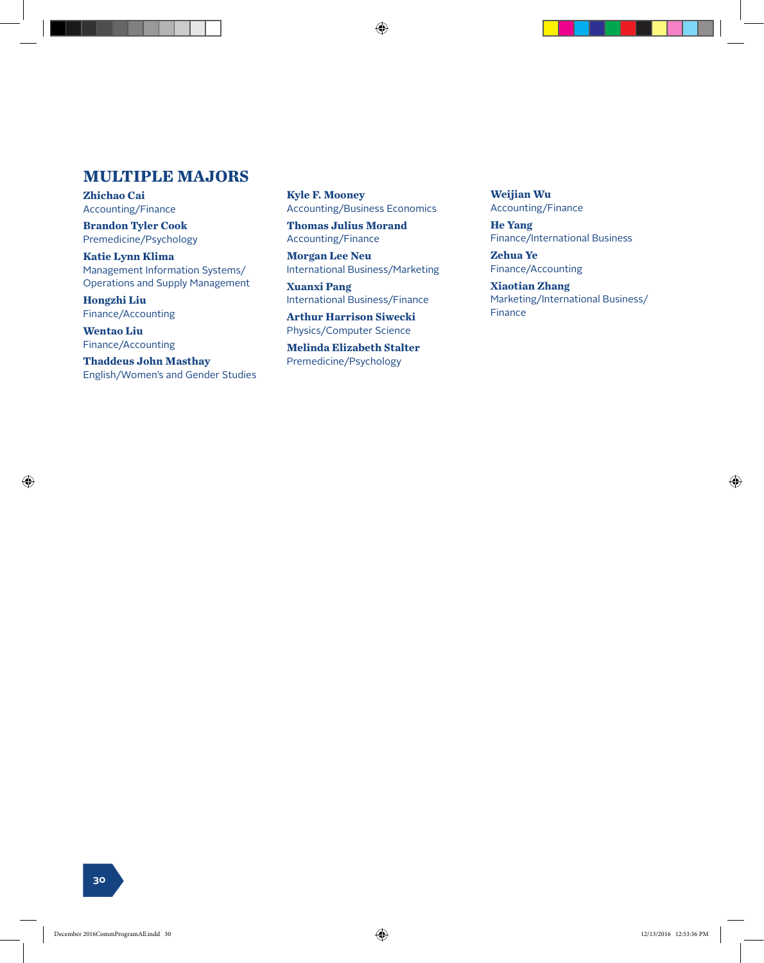#### **MULTIPLE MAJORS**

**Zhichao Cai** Accounting/Finance

**Brandon Tyler Cook** Premedicine/Psychology

**Katie Lynn Klima** Management Information Systems/ Operations and Supply Management

**Hongzhi Liu** Finance/Accounting

**Wentao Liu** Finance/Accounting

⊕

**Thaddeus John Masthay** English/Women's and Gender Studies **Kyle F. Mooney** Accounting/Business Economics

**Thomas Julius Morand** Accounting/Finance

**Morgan Lee Neu** International Business/Marketing

**Xuanxi Pang** International Business/Finance

**Arthur Harrison Siwecki** Physics/Computer Science

**Melinda Elizabeth Stalter** Premedicine/Psychology

**Weijian Wu** Accounting/Finance

**He Yang** Finance/International Business

**Zehua Ye** Finance/Accounting

**Xiaotian Zhang** Marketing/International Business/ Finance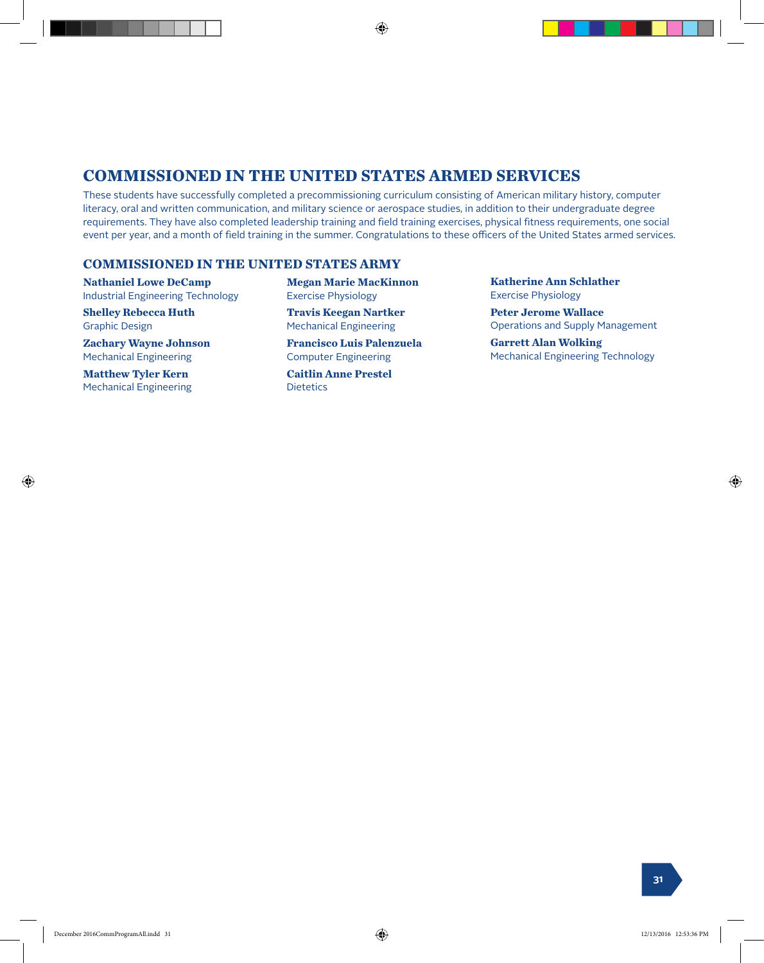#### **COMMISSIONED IN THE UNITED STATES ARMED SERVICES**

These students have successfully completed a precommissioning curriculum consisting of American military history, computer literacy, oral and written communication, and military science or aerospace studies, in addition to their undergraduate degree requirements. They have also completed leadership training and field training exercises, physical fitness requirements, one social event per year, and a month of field training in the summer. Congratulations to these officers of the United States armed services.

⊕

#### **COMMISSIONED IN THE UNITED STATES ARMY**

**Nathaniel Lowe DeCamp** Industrial Engineering Technology

**Shelley Rebecca Huth** Graphic Design

**Zachary Wayne Johnson** Mechanical Engineering

**Matthew Tyler Kern** Mechanical Engineering

⊕

**Megan Marie MacKinnon** Exercise Physiology

**Travis Keegan Nartker** Mechanical Engineering

**Francisco Luis Palenzuela** Computer Engineering

**Caitlin Anne Prestel Dietetics** 

**Katherine Ann Schlather** Exercise Physiology

**Peter Jerome Wallace** Operations and Supply Management

**Garrett Alan Wolking** Mechanical Engineering Technology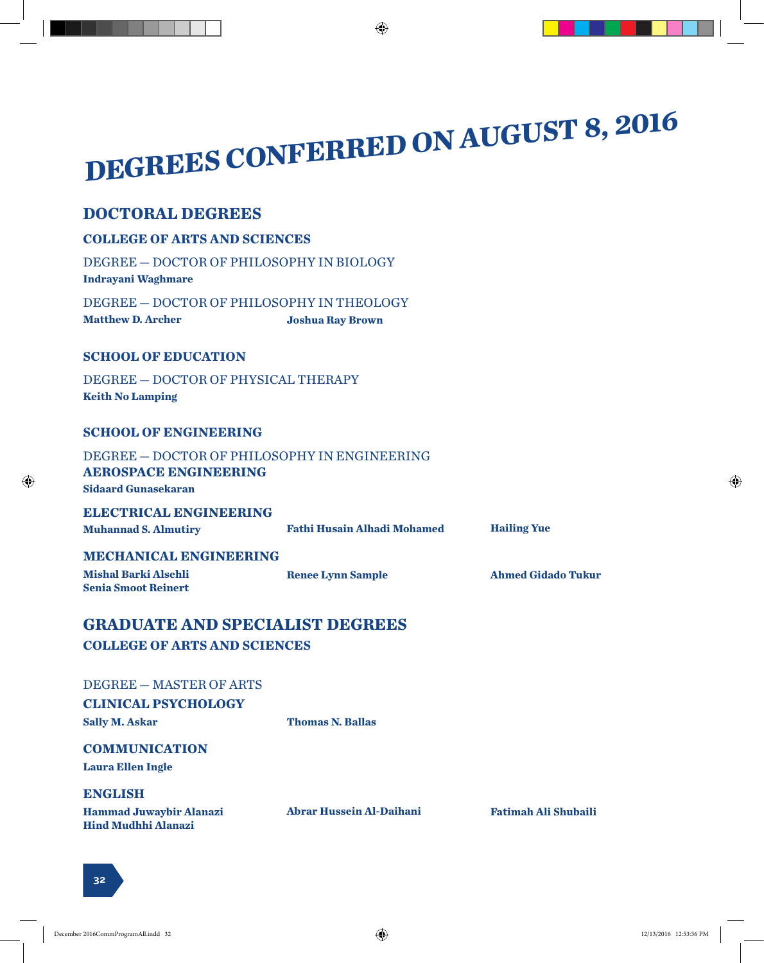# **DEGREES CONFERRED ON AUGUST 8, 2016**

 $\bigoplus$ 

#### **DOCTORAL DEGREES**

| <b>COLLEGE OF ARTS AND SCIENCES</b>                                                                        |                                    |                             |  |
|------------------------------------------------------------------------------------------------------------|------------------------------------|-----------------------------|--|
| DEGREE - DOCTOR OF PHILOSOPHY IN BIOLOGY<br><b>Indrayani Waghmare</b>                                      |                                    |                             |  |
| DEGREE - DOCTOR OF PHILOSOPHY IN THEOLOGY<br><b>Matthew D. Archer</b>                                      | <b>Joshua Ray Brown</b>            |                             |  |
| <b>SCHOOL OF EDUCATION</b>                                                                                 |                                    |                             |  |
| DEGREE - DOCTOR OF PHYSICAL THERAPY<br><b>Keith No Lamping</b>                                             |                                    |                             |  |
| <b>SCHOOL OF ENGINEERING</b>                                                                               |                                    |                             |  |
| DEGREE - DOCTOR OF PHILOSOPHY IN ENGINEERING<br><b>AEROSPACE ENGINEERING</b><br><b>Sidaard Gunasekaran</b> |                                    |                             |  |
| <b>ELECTRICAL ENGINEERING</b><br><b>Muhannad S. Almutiry</b>                                               | <b>Fathi Husain Alhadi Mohamed</b> | <b>Hailing Yue</b>          |  |
| <b>MECHANICAL ENGINEERING</b><br><b>Mishal Barki Alsehli</b><br><b>Senia Smoot Reinert</b>                 | <b>Renee Lynn Sample</b>           | <b>Ahmed Gidado Tukur</b>   |  |
| <b>GRADUATE AND SPECIALIST DEGREES</b>                                                                     |                                    |                             |  |
| <b>COLLEGE OF ARTS AND SCIENCES</b>                                                                        |                                    |                             |  |
| DEGREE - MASTER OF ARTS<br><b>CLINICAL PSYCHOLOGY</b><br><b>Sally M. Askar</b>                             | <b>Thomas N. Ballas</b>            |                             |  |
| <b>COMMUNICATION</b>                                                                                       |                                    |                             |  |
| <b>Laura Ellen Ingle</b>                                                                                   |                                    |                             |  |
| <b>ENGLISH</b>                                                                                             |                                    |                             |  |
| <b>Hammad Juwaybir Alanazi</b><br><b>Hind Mudhhi Alanazi</b>                                               | <b>Abrar Hussein Al-Daihani</b>    | <b>Fatimah Ali Shubaili</b> |  |

 $\bigoplus$ 

 $\bigoplus$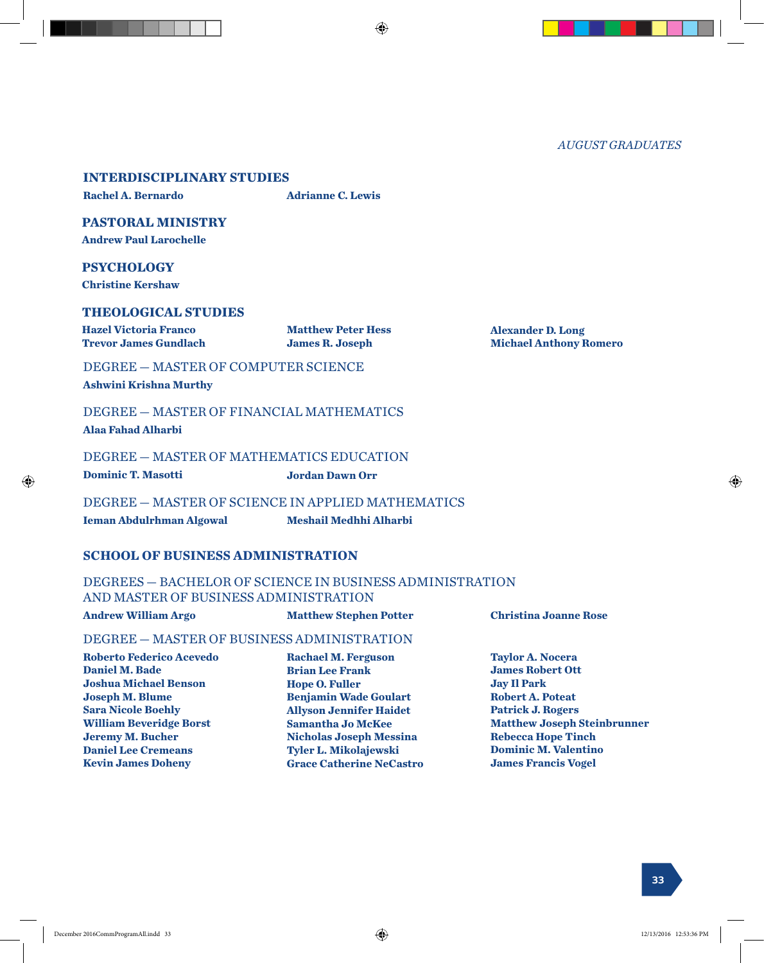*AUGUST GRADUATES*

#### **INTERDISCIPLINARY STUDIES**

**Rachel A. Bernardo Adrianne C. Lewis**

⊕

#### **PASTORAL MINISTRY**

**Andrew Paul Larochelle**

#### **PSYCHOLOGY**

**Christine Kershaw**

#### **THEOLOGICAL STUDIES**

**Hazel Victoria Franco Trevor James Gundlach** **Matthew Peter Hess James R. Joseph**

**Alexander D. Long Michael Anthony Romero**

#### DEGREE — MASTER OF COMPUTER SCIENCE

**Ashwini Krishna Murthy**

DEGREE — MASTER OF FINANCIAL MATHEMATICS **Alaa Fahad Alharbi**

#### DEGREE — MASTER OF MATHEMATICS EDUCATION

**Dominic T. Masotti Jordan Dawn Orr**

DEGREE — MASTER OF SCIENCE IN APPLIED MATHEMATICS **Ieman Abdulrhman Algowal Meshail Medhhi Alharbi**

#### **SCHOOL OF BUSINESS ADMINISTRATION**

#### DEGREES — BACHELOR OF SCIENCE IN BUSINESS ADMINISTRATION AND MASTER OF BUSINESS ADMINISTRATION

#### **Andrew William Argo Matthew Stephen Potter Christina Joanne Rose**

#### DEGREE — MASTER OF BUSINESS ADMINISTRATION

**Roberto Federico Acevedo Daniel M. Bade Joshua Michael Benson Joseph M. Blume Sara Nicole Boehly William Beveridge Borst Jeremy M. Bucher Daniel Lee Cremeans Kevin James Doheny**

**Rachael M. Ferguson Brian Lee Frank Hope O. Fuller Benjamin Wade Goulart Allyson Jennifer Haidet Samantha Jo McKee Nicholas Joseph Messina Tyler L. Mikolajewski Grace Catherine NeCastro**

#### **Taylor A. Nocera James Robert Ott Jay Il Park Robert A. Poteat Patrick J. Rogers Matthew Joseph Steinbrunner Rebecca Hope Tinch Dominic M. Valentino James Francis Vogel**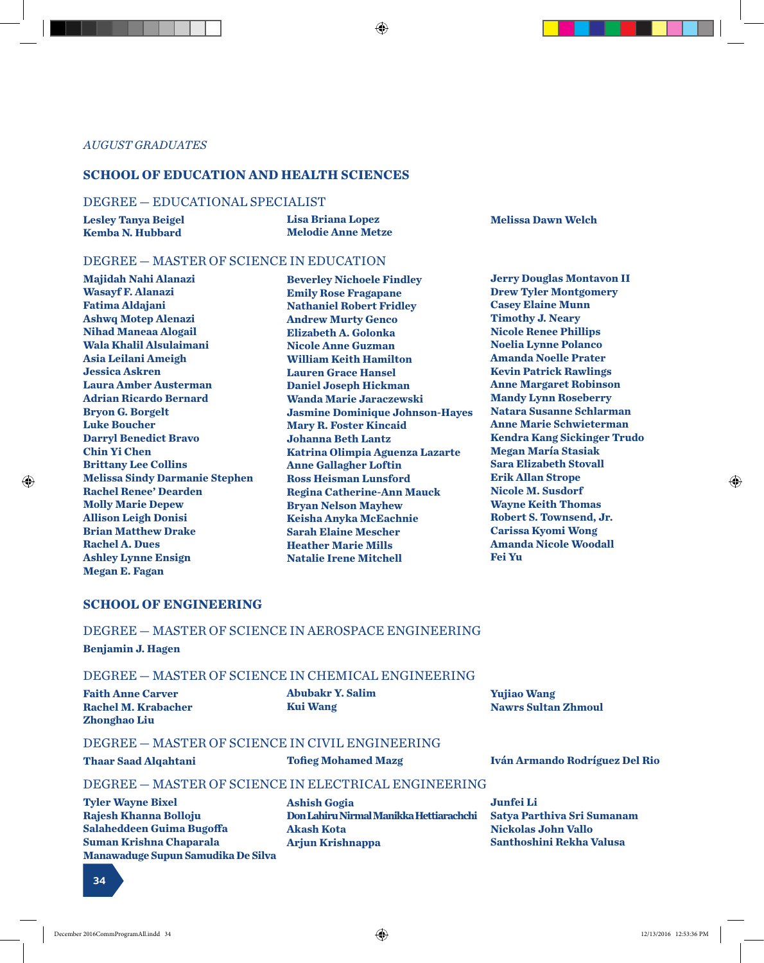**Lisa Briana Lopez Melodie Anne Metze**

#### *AUGUST GRADUATES*

#### **SCHOOL OF EDUCATION AND HEALTH SCIENCES**

#### DEGREE — EDUCATIONAL SPECIALIST

**Lesley Tanya Beigel Kemba N. Hubbard**

**Melissa Dawn Welch**

#### DEGREE — MASTER OF SCIENCE IN EDUCATION

**Majidah Nahi Alanazi Wasayf F. Alanazi Fatima Aldajani Ashwq Motep Alenazi Nihad Maneaa Alogail Wala Khalil Alsulaimani Asia Leilani Ameigh Jessica Askren Laura Amber Austerman Adrian Ricardo Bernard Bryon G. Borgelt Luke Boucher Darryl Benedict Bravo Chin Yi Chen Brittany Lee Collins Melissa Sindy Darmanie Stephen Rachel Renee' Dearden Molly Marie Depew Allison Leigh Donisi Brian Matthew Drake Rachel A. Dues Ashley Lynne Ensign Megan E. Fagan**

**Beverley Nichoele Findley Emily Rose Fragapane Nathaniel Robert Fridley Andrew Murty Genco Elizabeth A. Golonka Nicole Anne Guzman William Keith Hamilton Lauren Grace Hansel Daniel Joseph Hickman Wanda Marie Jaraczewski Jasmine Dominique Johnson-Hayes Mary R. Foster Kincaid Johanna Beth Lantz Katrina Olimpia Aguenza Lazarte Anne Gallagher Loftin Ross Heisman Lunsford Regina Catherine-Ann Mauck Bryan Nelson Mayhew Keisha Anyka McEachnie Sarah Elaine Mescher Heather Marie Mills Natalie Irene Mitchell**

**Jerry Douglas Montavon II Drew Tyler Montgomery Casey Elaine Munn Timothy J. Neary Nicole Renee Phillips Noelia Lynne Polanco Amanda Noelle Prater Kevin Patrick Rawlings Anne Margaret Robinson Mandy Lynn Roseberry Natara Susanne Schlarman Anne Marie Schwieterman Kendra Kang Sickinger Trudo Megan María Stasiak Sara Elizabeth Stovall Erik Allan Strope Nicole M. Susdorf Wayne Keith Thomas Robert S. Townsend, Jr. Carissa Kyomi Wong Amanda Nicole Woodall Fei Yu**

#### **SCHOOL OF ENGINEERING**

#### DEGREE — MASTER OF SCIENCE IN AEROSPACE ENGINEERING

**Benjamin J. Hagen**

⊕

#### DEGREE — MASTER OF SCIENCE IN CHEMICAL ENGINEERING

| <b>Faith Anne Carver</b>   | <b>Abubakr Y. Salim</b> | <b>Yujiao Wang</b>         |
|----------------------------|-------------------------|----------------------------|
| <b>Rachel M. Krabacher</b> | <b>Kui Wang</b>         | <b>Nawrs Sultan Zhmoul</b> |
| <b>Zhonghao Liu</b>        |                         |                            |

#### DEGREE — MASTER OF SCIENCE IN CIVIL ENGINEERING

**Thaar Saad Alqahtani Tofieg Mohamed Mazg Iván Armando Rodríguez Del Rio**

#### DEGREE — MASTER OF SCIENCE IN ELECTRICAL ENGINEERING

**Tyler Wayne Bixel Rajesh Khanna Bolloju Salaheddeen Guima Bugoffa Suman Krishna Chaparala Manawaduge Supun Samudika De Silva** **Ashish Gogia Don Lahiru Nirmal Manikka Hettiarachchi Akash Kota Arjun Krishnappa**

**Junfei Li Satya Parthiva Sri Sumanam Nickolas John Vallo Santhoshini Rekha Valusa**

**34**

♠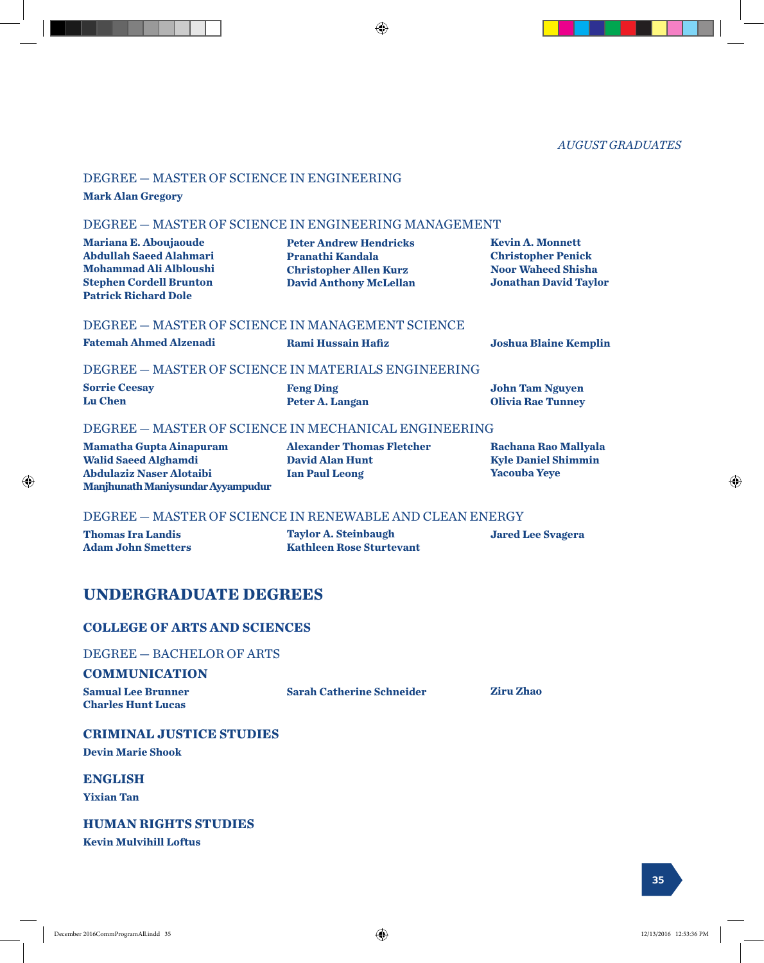*AUGUST GRADUATES*

#### DEGREE — MASTER OF SCIENCE IN ENGINEERING

**Mark Alan Gregory**

#### DEGREE — MASTER OF SCIENCE IN ENGINEERING MANAGEMENT

**Mariana E. Aboujaoude Abdullah Saeed Alahmari Mohammad Ali Albloushi Stephen Cordell Brunton Patrick Richard Dole**

**Peter Andrew Hendricks Pranathi Kandala Christopher Allen Kurz David Anthony McLellan**

⊕

**Kevin A. Monnett Christopher Penick Noor Waheed Shisha Jonathan David Taylor**

#### DEGREE — MASTER OF SCIENCE IN MANAGEMENT SCIENCE

**Fatemah Ahmed Alzenadi Rami Hussain Hafiz Joshua Blaine Kemplin**

**Feng Ding**

**John Tam Nguyen Olivia Rae Tunney**

#### DEGREE — MASTER OF SCIENCE IN MATERIALS ENGINEERING

**Sorrie Ceesay Lu Chen**

**Peter A. Langan**

#### DEGREE — MASTER OF SCIENCE IN MECHANICAL ENGINEERING

**Mamatha Gupta Ainapuram Walid Saeed Alghamdi Abdulaziz Naser Alotaibi Manjhunath Maniysundar Ayyampudur** **Alexander Thomas Fletcher David Alan Hunt Ian Paul Leong**

**Rachana Rao Mallyala Kyle Daniel Shimmin Yacouba Yeye**

#### DEGREE — MASTER OF SCIENCE IN RENEWABLE AND CLEAN ENERGY

**Thomas Ira Landis Adam John Smetters** **Taylor A. Steinbaugh Kathleen Rose Sturtevant** **Jared Lee Svagera**

#### **UNDERGRADUATE DEGREES**

#### **COLLEGE OF ARTS AND SCIENCES**

DEGREE — BACHELOR OF ARTS

#### **COMMUNICATION**

**Samual Lee Brunner Charles Hunt Lucas**

**Sarah Catherine Schneider Ziru Zhao**

**CRIMINAL JUSTICE STUDIES Devin Marie Shook**

**ENGLISH**

**Yixian Tan**

#### **HUMAN RIGHTS STUDIES**

**Kevin Mulvihill Loftus**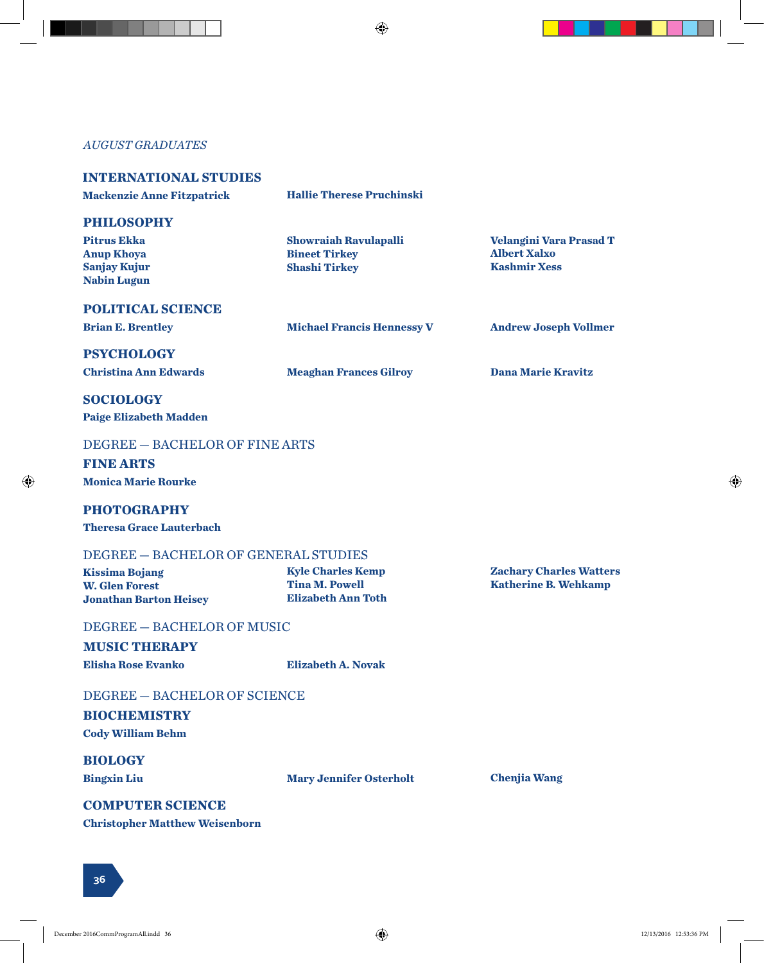$\bigoplus$ 

#### *AUGUST GRADUATES*

| <b>INTERNATIONAL STUDIES</b><br><b>Mackenzie Anne Fitzpatrick</b>                                         | <b>Hallie Therese Pruchinski</b>                                               |                                                                              |
|-----------------------------------------------------------------------------------------------------------|--------------------------------------------------------------------------------|------------------------------------------------------------------------------|
| <b>PHILOSOPHY</b><br><b>Pitrus Ekka</b><br><b>Anup Khoya</b><br><b>Sanjay Kujur</b><br><b>Nabin Lugun</b> | <b>Showraiah Ravulapalli</b><br><b>Bineet Tirkey</b><br><b>Shashi Tirkey</b>   | <b>Velangini Vara Prasad T</b><br><b>Albert Xalxo</b><br><b>Kashmir Xess</b> |
| <b>POLITICAL SCIENCE</b><br><b>Brian E. Brentley</b>                                                      | <b>Michael Francis Hennessy V</b>                                              | <b>Andrew Joseph Vollmer</b>                                                 |
| <b>PSYCHOLOGY</b><br><b>Christina Ann Edwards</b>                                                         | <b>Meaghan Frances Gilroy</b>                                                  | <b>Dana Marie Kravitz</b>                                                    |
| <b>SOCIOLOGY</b><br><b>Paige Elizabeth Madden</b>                                                         |                                                                                |                                                                              |
| DEGREE - BACHELOR OF FINE ARTS<br><b>FINE ARTS</b><br><b>Monica Marie Rourke</b>                          |                                                                                |                                                                              |
| <b>PHOTOGRAPHY</b><br><b>Theresa Grace Lauterbach</b>                                                     |                                                                                |                                                                              |
| DEGREE - BACHELOR OF GENERAL STUDIES                                                                      |                                                                                |                                                                              |
| <b>Kissima Bojang</b><br><b>W. Glen Forest</b><br><b>Jonathan Barton Heisey</b>                           | <b>Kyle Charles Kemp</b><br><b>Tina M. Powell</b><br><b>Elizabeth Ann Toth</b> | <b>Zachary Charles Watters</b><br><b>Katherine B. Wehkamp</b>                |
| DEGREE - BACHELOR OF MUSIC                                                                                |                                                                                |                                                                              |
| <b>MUSIC THERAPY</b>                                                                                      |                                                                                |                                                                              |
| <b>Elisha Rose Evanko</b>                                                                                 | <b>Elizabeth A. Novak</b>                                                      |                                                                              |
| DEGREE - BACHELOR OF SCIENCE<br><b>BIOCHEMISTRY</b><br><b>Cody William Behm</b>                           |                                                                                |                                                                              |
| <b>BIOLOGY</b><br><b>Bingxin Liu</b>                                                                      | <b>Mary Jennifer Osterholt</b>                                                 | <b>Chenjia Wang</b>                                                          |
| <b>COMPUTER SCIENCE</b><br><b>Christopher Matthew Weisenborn</b>                                          |                                                                                |                                                                              |

**36**

 $\bigoplus$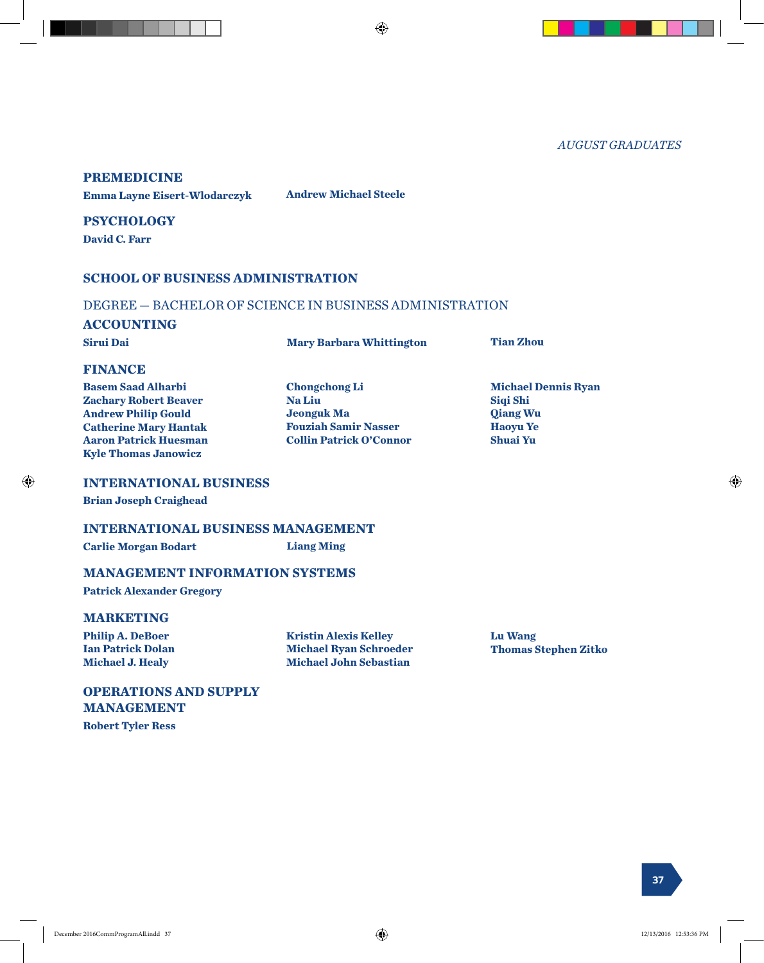*AUGUST GRADUATES*

#### **PREMEDICINE**

**Emma Layne Eisert-Wlodarczyk Andrew Michael Steele**

**PSYCHOLOGY David C. Farr**

#### **SCHOOL OF BUSINESS ADMINISTRATION**

#### DEGREE — BACHELOR OF SCIENCE IN BUSINESS ADMINISTRATION

#### **ACCOUNTING**

**Sirui Dai Mary Barbara Whittington Tian Zhou**

⊕

#### **FINANCE**

| <b>Basem Saad Alharbi</b>    | <b>Chongchong Li</b>           | <b>Michael Dennis Ryan</b> |
|------------------------------|--------------------------------|----------------------------|
| <b>Zachary Robert Beaver</b> | <b>Na Liu</b>                  | Sigi Shi                   |
| <b>Andrew Philip Gould</b>   | <b>Jeonguk Ma</b>              | <b>Qiang Wu</b>            |
| <b>Catherine Mary Hantak</b> | <b>Fouziah Samir Nasser</b>    | <b>Haoyu Ye</b>            |
| <b>Aaron Patrick Huesman</b> | <b>Collin Patrick O'Connor</b> | <b>Shuai Yu</b>            |
| <b>Kyle Thomas Janowicz</b>  |                                |                            |

#### **INTERNATIONAL BUSINESS**

**Brian Joseph Craighead**

#### **INTERNATIONAL BUSINESS MANAGEMENT**

**Carlie Morgan Bodart Liang Ming**

#### **MANAGEMENT INFORMATION SYSTEMS**

**Patrick Alexander Gregory**

#### **MARKETING**

**Philip A. DeBoer Ian Patrick Dolan Michael J. Healy**

**Kristin Alexis Kelley Michael Ryan Schroeder Michael John Sebastian**

**Lu Wang Thomas Stephen Zitko**

#### **OPERATIONS AND SUPPLY MANAGEMENT**

**Robert Tyler Ress**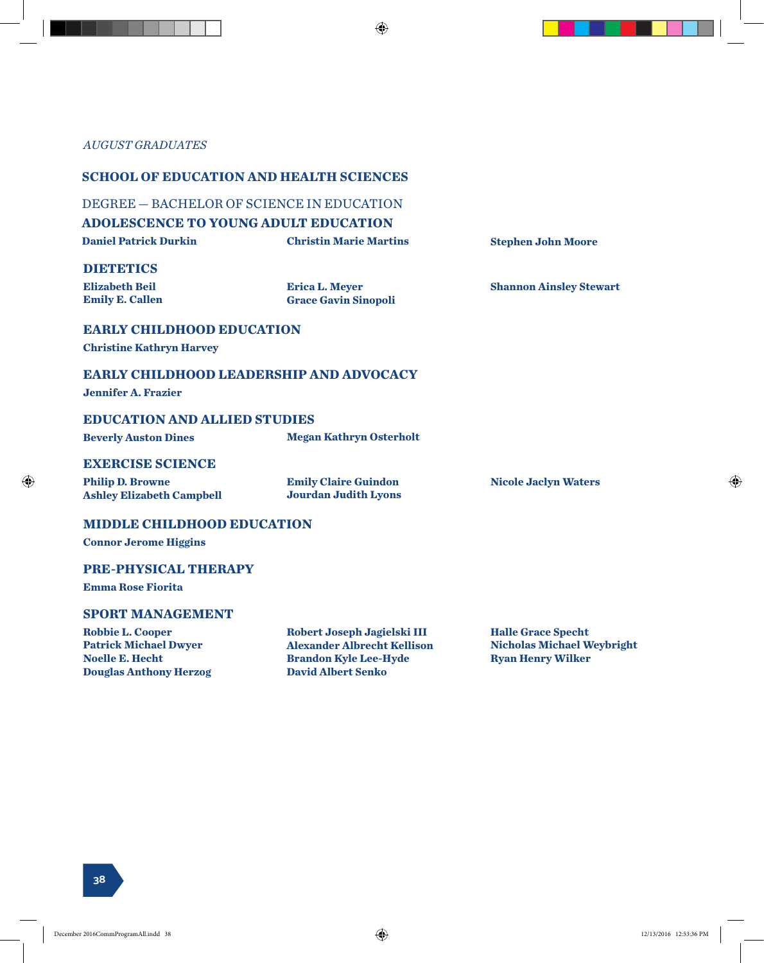#### *AUGUST GRADUATES*

#### **SCHOOL OF EDUCATION AND HEALTH SCIENCES**

#### DEGREE — BACHELOR OF SCIENCE IN EDUCATION

#### **ADOLESCENCE TO YOUNG ADULT EDUCATION**

**Daniel Patrick Durkin Christin Marie Martins Stephen John Moore**

#### **DIETETICS**

**Elizabeth Beil Emily E. Callen** **Erica L. Meyer Grace Gavin Sinopoli**

**Nicole Jaclyn Waters**

**Shannon Ainsley Stewart**

#### **EARLY CHILDHOOD EDUCATION**

**Christine Kathryn Harvey**

#### **EARLY CHILDHOOD LEADERSHIP AND ADVOCACY**

**Jennifer A. Frazier**

⊕

#### **EDUCATION AND ALLIED STUDIES**

**Beverly Auston Dines Megan Kathryn Osterholt**

#### **EXERCISE SCIENCE**

**Philip D. Browne Ashley Elizabeth Campbell** **Emily Claire Guindon Jourdan Judith Lyons**

#### **MIDDLE CHILDHOOD EDUCATION**

**Connor Jerome Higgins**

#### **PRE-PHYSICAL THERAPY**

**Emma Rose Fiorita**

#### **SPORT MANAGEMENT**

**Robbie L. Cooper Patrick Michael Dwyer Noelle E. Hecht Douglas Anthony Herzog**

**Robert Joseph Jagielski III Alexander Albrecht Kellison Brandon Kyle Lee-Hyde David Albert Senko**

**Halle Grace Specht Nicholas Michael Weybright Ryan Henry Wilker**

**38**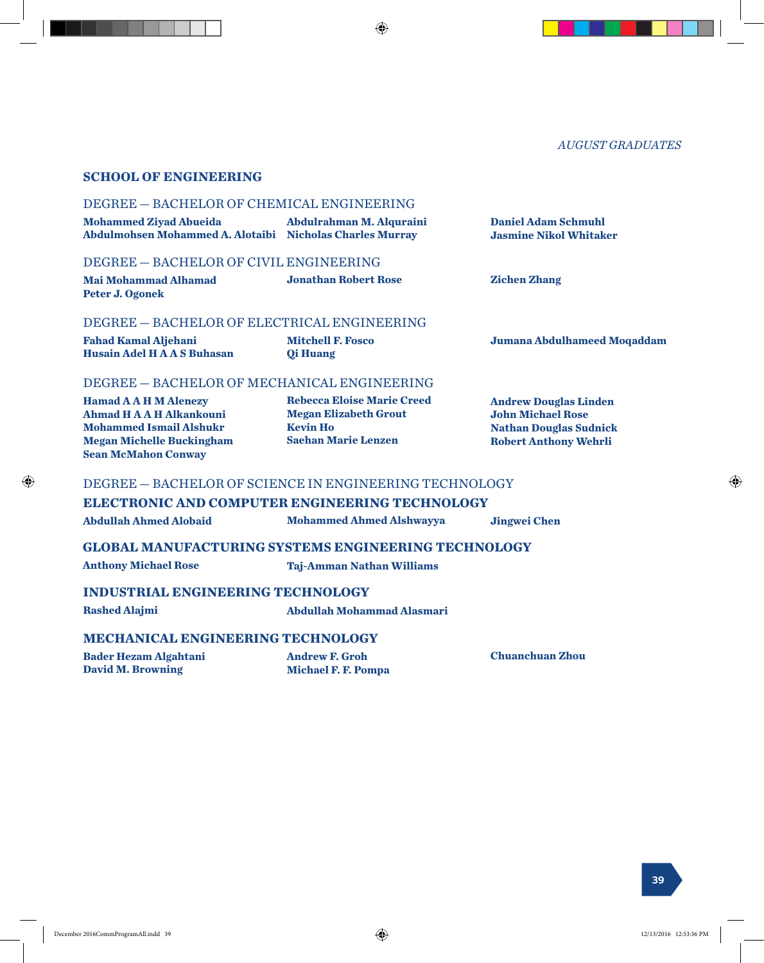#### *AUGUST GRADUATES*

⊕

#### **SCHOOL OF ENGINEERING**

#### DEGREE — BACHELOR OF CHEMICAL ENGINEERING

| <b>Mohammed Ziyad Abueida</b><br>Abdulmohsen Mohammed A. Alotaibi Nicholas Charles Murray | Abdulrahman M. Alquraini | <b>Daniel Adam Schmuhl</b><br><b>Jasmine Nikol Whitaker</b> |
|-------------------------------------------------------------------------------------------|--------------------------|-------------------------------------------------------------|
| DEGREE - BACHELOR OF CIVIL ENGINEERING                                                    |                          |                                                             |

| <b>Mai Mohammad Alhamad</b> | <b>Jonathan Robert Rose</b> | <b>Zichen Zhang</b> |
|-----------------------------|-----------------------------|---------------------|
| Peter J. Ogonek             |                             |                     |

#### DEGREE — BACHELOR OF ELECTRICAL ENGINEERING

**Fahad Kamal Aljehani Husain Adel H A A S Buhasan** **Mitchell F. Fosco Qi Huang**

#### DEGREE — BACHELOR OF MECHANICAL ENGINEERING

**Hamad A A H M Alenezy Ahmad H A A H Alkankouni Mohammed Ismail Alshukr Megan Michelle Buckingham Sean McMahon Conway**

**Rebecca Eloise Marie Creed Megan Elizabeth Grout Kevin Ho Saehan Marie Lenzen**

**Andrew Douglas Linden John Michael Rose Nathan Douglas Sudnick Robert Anthony Wehrli**

**Jumana Abdulhameed Moqaddam**

#### DEGREE — BACHELOR OF SCIENCE IN ENGINEERING TECHNOLOGY

#### **ELECTRONIC AND COMPUTER ENGINEERING TECHNOLOGY**

**Abdullah Ahmed Alobaid Mohammed Ahmed Alshwayya Jingwei Chen**

#### **GLOBAL MANUFACTURING SYSTEMS ENGINEERING TECHNOLOGY**

**Anthony Michael Rose Taj-Amman Nathan Williams**

#### **INDUSTRIAL ENGINEERING TECHNOLOGY**

**Rashed Alajmi Abdullah Mohammad Alasmari**

⊕

#### **MECHANICAL ENGINEERING TECHNOLOGY**

**Bader Hezam Algahtani David M. Browning**

**Andrew F. Groh Michael F. F. Pompa** **Chuanchuan Zhou**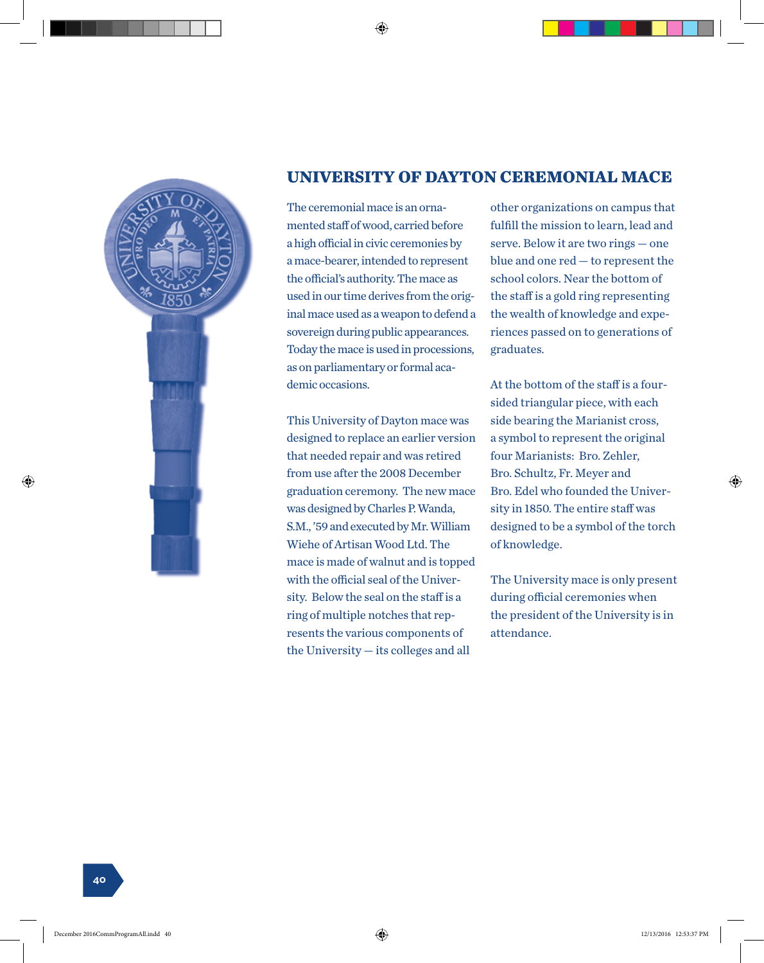

#### **UNIVERSITY OF DAYTON CEREMONIAL MACE**

The ceremonial mace is an ornamented staff of wood, carried before a high official in civic ceremonies by a mace-bearer, intended to represent the official's authority. The mace as used in our time derives from the original mace used as a weapon to defend a sovereign during public appearances. Today the mace is used in processions, as on parliamentary or formal academic occasions.

This University of Dayton mace was designed to replace an earlier version that needed repair and was retired from use after the 2008 December graduation ceremony. The new mace was designed by Charles P. Wanda, S.M., '59 and executed by Mr. William Wiehe of Artisan Wood Ltd. The mace is made of walnut and is topped with the official seal of the University. Below the seal on the staff is a ring of multiple notches that represents the various components of the University — its colleges and all

other organizations on campus that fulfill the mission to learn, lead and serve. Below it are two rings — one blue and one red — to represent the school colors. Near the bottom of the staff is a gold ring representing the wealth of knowledge and experiences passed on to generations of graduates.

At the bottom of the staff is a foursided triangular piece, with each side bearing the Marianist cross, a symbol to represent the original four Marianists: Bro. Zehler, Bro. Schultz, Fr. Meyer and Bro. Edel who founded the University in 1850. The entire staff was designed to be a symbol of the torch of knowledge.

The University mace is only present during official ceremonies when the president of the University is in attendance.

⊕

**40**

⊕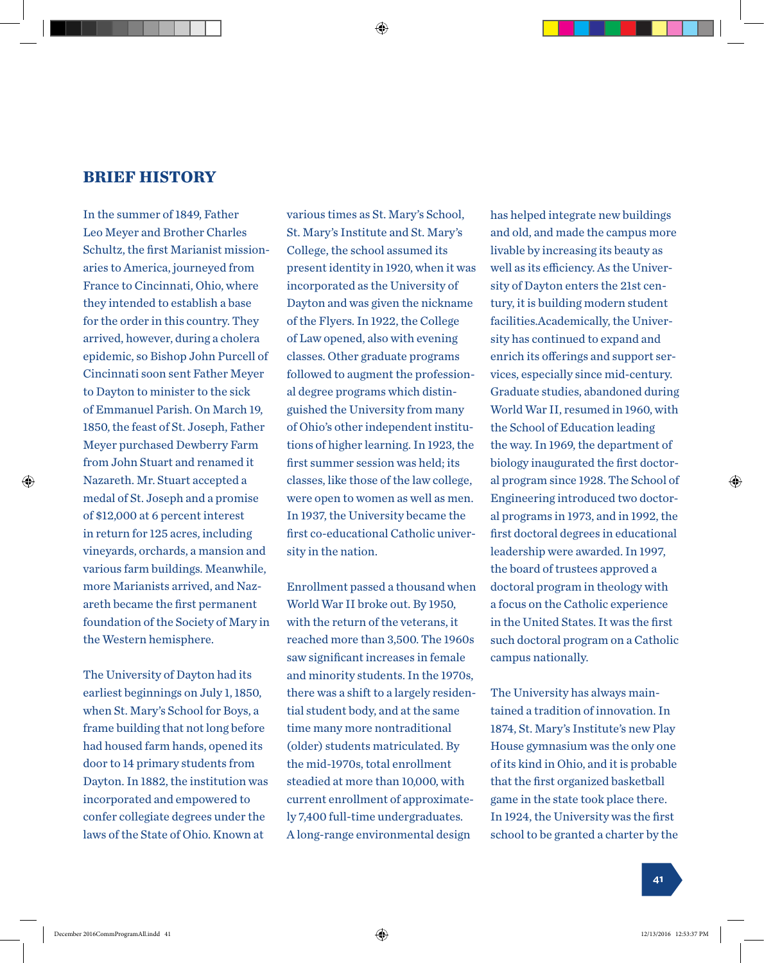#### **BRIEF HISTORY**

In the summer of 1849, Father Leo Meyer and Brother Charles Schultz, the first Marianist missionaries to America, journeyed from France to Cincinnati, Ohio, where they intended to establish a base for the order in this country. They arrived, however, during a cholera epidemic, so Bishop John Purcell of Cincinnati soon sent Father Meyer to Dayton to minister to the sick of Emmanuel Parish. On March 19, 1850, the feast of St. Joseph, Father Meyer purchased Dewberry Farm from John Stuart and renamed it Nazareth. Mr. Stuart accepted a medal of St. Joseph and a promise of \$12,000 at 6 percent interest in return for 125 acres, including vineyards, orchards, a mansion and various farm buildings. Meanwhile, more Marianists arrived, and Nazareth became the first permanent foundation of the Society of Mary in the Western hemisphere.

⊕

The University of Dayton had its earliest beginnings on July 1, 1850, when St. Mary's School for Boys, a frame building that not long before had housed farm hands, opened its door to 14 primary students from Dayton. In 1882, the institution was incorporated and empowered to confer collegiate degrees under the laws of the State of Ohio. Known at

various times as St. Mary's School, St. Mary's Institute and St. Mary's College, the school assumed its present identity in 1920, when it was incorporated as the University of Dayton and was given the nickname of the Flyers. In 1922, the College of Law opened, also with evening classes. Other graduate programs followed to augment the professional degree programs which distinguished the University from many of Ohio's other independent institutions of higher learning. In 1923, the first summer session was held; its classes, like those of the law college, were open to women as well as men. In 1937, the University became the first co-educational Catholic university in the nation.

Enrollment passed a thousand when World War II broke out. By 1950, with the return of the veterans, it reached more than 3,500. The 1960s saw significant increases in female and minority students. In the 1970s, there was a shift to a largely residential student body, and at the same time many more nontraditional (older) students matriculated. By the mid-1970s, total enrollment steadied at more than 10,000, with current enrollment of approximately 7,400 full-time undergraduates. A long-range environmental design

has helped integrate new buildings and old, and made the campus more livable by increasing its beauty as well as its efficiency. As the University of Dayton enters the 21st century, it is building modern student facilities.Academically, the University has continued to expand and enrich its offerings and support services, especially since mid-century. Graduate studies, abandoned during World War II, resumed in 1960, with the School of Education leading the way. In 1969, the department of biology inaugurated the first doctoral program since 1928. The School of Engineering introduced two doctoral programs in 1973, and in 1992, the first doctoral degrees in educational leadership were awarded. In 1997, the board of trustees approved a doctoral program in theology with a focus on the Catholic experience in the United States. It was the first such doctoral program on a Catholic campus nationally.

The University has always maintained a tradition of innovation. In 1874, St. Mary's Institute's new Play House gymnasium was the only one of its kind in Ohio, and it is probable that the first organized basketball game in the state took place there. In 1924, the University was the first school to be granted a charter by the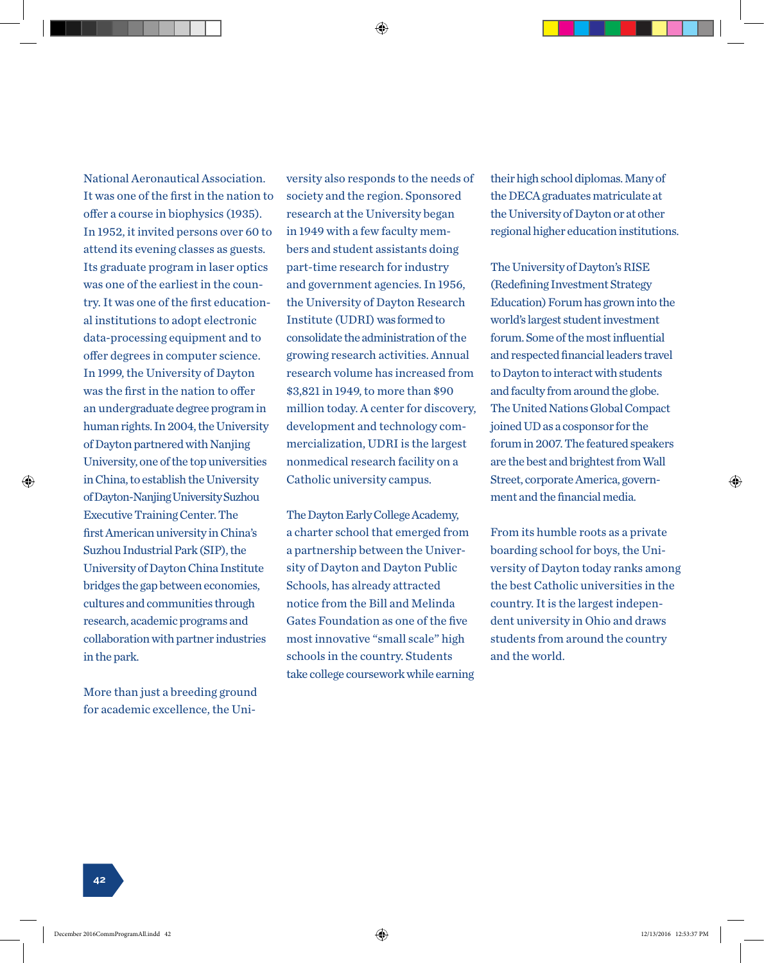National Aeronautical Association. It was one of the first in the nation to offer a course in biophysics (1935). In 1952, it invited persons over 60 to attend its evening classes as guests. Its graduate program in laser optics was one of the earliest in the country. It was one of the first educational institutions to adopt electronic data-processing equipment and to offer degrees in computer science. In 1999, the University of Dayton was the first in the nation to offer an undergraduate degree program in human rights. In 2004, the University of Dayton partnered with Nanjing University, one of the top universities in China, to establish the University of Dayton-Nanjing University Suzhou Executive Training Center. The first American university in China's Suzhou Industrial Park (SIP), the University of Dayton China Institute bridges the gap between economies, cultures and communities through research, academic programs and collaboration with partner industries in the park.

More than just a breeding ground for academic excellence, the University also responds to the needs of society and the region. Sponsored research at the University began in 1949 with a few faculty members and student assistants doing part-time research for industry and government agencies. In 1956, the University of Dayton Research Institute (UDRI) was formed to consolidate the administration of the growing research activities. Annual research volume has increased from \$3,821 in 1949, to more than \$90 million today. A center for discovery, development and technology commercialization, UDRI is the largest nonmedical research facility on a Catholic university campus.

The Dayton Early College Academy, a charter school that emerged from a partnership between the University of Dayton and Dayton Public Schools, has already attracted notice from the Bill and Melinda Gates Foundation as one of the five most innovative "small scale" high schools in the country. Students take college coursework while earning

their high school diplomas. Many of the DECA graduates matriculate at the University of Dayton or at other regional higher education institutions.

The University of Dayton's RISE (Redefining Investment Strategy Education) Forum has grown into the world's largest student investment forum. Some of the most influential and respected financial leaders travel to Dayton to interact with students and faculty from around the globe. The United Nations Global Compact joined UD as a cosponsor for the forum in 2007. The featured speakers are the best and brightest from Wall Street, corporate America, government and the financial media.

From its humble roots as a private boarding school for boys, the University of Dayton today ranks among the best Catholic universities in the country. It is the largest independent university in Ohio and draws students from around the country and the world.

**42**

⊕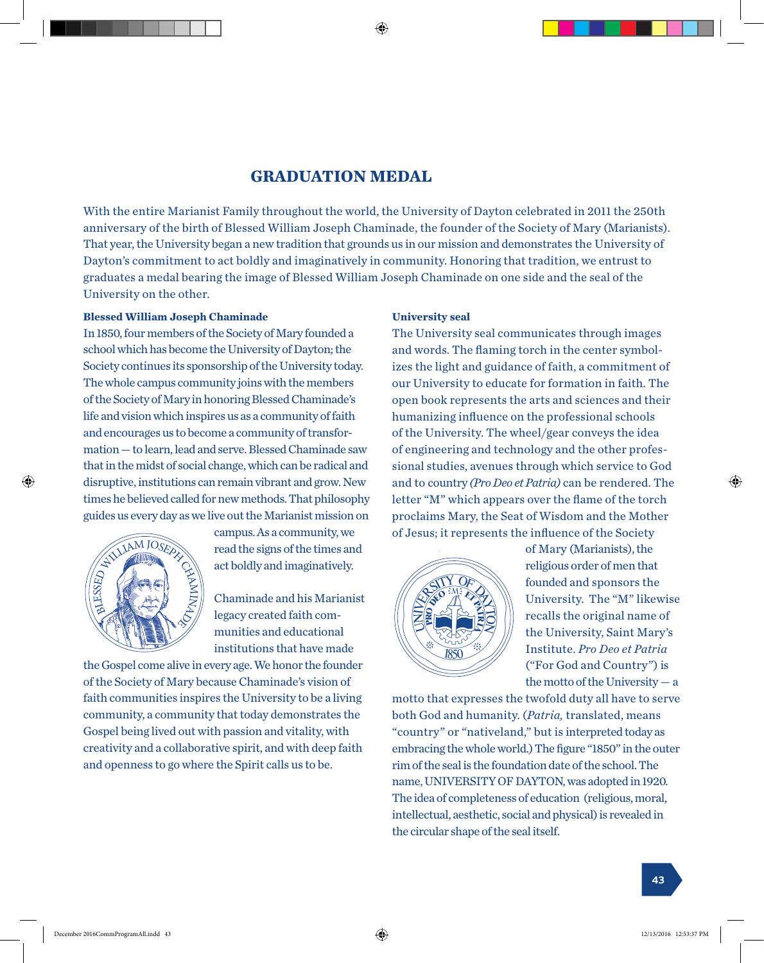#### **GRADUATION MEDAL**

With the entire Marianist Family throughout the world, the University of Dayton celebrated in 2011 the 250th anniversary of the birth of Blessed William Joseph Chaminade, the founder of the Society of Mary (Marianists). That year, the University began a new tradition that grounds us in our mission and demonstrates the University of Dayton's commitment to act boldly and imaginatively in community. Honoring that tradition, we entrust to graduates a medal bearing the image of Blessed William Joseph Chaminade on one side and the seal of the University on the other.

#### **Blessed William Joseph Chaminade**

In 1850, four members of the Society of Mary founded a school which has become the University of Dayton; the Society continues its sponsorship of the University today. Society communes its sponsorsing of the University today. The state if<br>The whole campus community joins with the members our Unive of the Society of Mary in honoring Blessed Chaminade's open book represents the arts and sciences a life and vision which inspires us as a community of faith humanizing influence on the professional scho and encourages us to become a community of transformation — to learn, lead and serve. Blessed Chaminade saw that in the midst of social change, which can be radical and disruptive, institutions can remain vibrant and grow. New times he believed called for new methods. That philosophy ance no sensitive cancer of the University The Phrose physiological state of Dayton is celebration on guides us every day as we live out the Marianist mission on ides us every day as we live out the Marianist mission on graduate a medal bearing the image of Blessed William Joseph Chaminade on one side and the University of the S **Blessed William Joseph Chaminade** 20 th and the big and a bend of the birth of the birth of Blessed and Joseph and Joseph and Joseph and Joseph and In vibrant and grow. New nethous. I hat philosopi ve, institutions can re<br>Believed called for ne<br>Bevery day as we live<br>can



⊕

campus. As a community, we campus. As a community, we<br>read the signs of the times and<br>act boldly and imaginatively act boldly and imaginatively.  $\mathbf{v}$  of the University of the University of the University of the University of the University of the University of the University of the University of the University of the University of the University of the Univers

Chaminade and his Marianist legacy created faith com- $\mathbb{R}$   $\mathbb{R}$  munities and educational institutions that have made the Society continues its vision inspire us as a community of faith and encourage  $\mathbb{R}$   $\mathbb{Z}$   $\mathbb{R}$   $\mathbb{Z}$  Chaminade and instruction

the Gospel come alive in every age. We honor the founder of the Society of Mary because Chaminade's vision of faith communities inspires the University to be a living community, a community that today demonstrates the commany, a commany and today demonstrated in Gospel being lived out with passion and vitality, with creativity and a collaborative spirit, and with deep faith and openness to go where the Spirit calls us to be.  $\operatorname{pspel}$  being lived out with passion and vitality, wit inhumines inspires the University to be a fivile nty, a community that today demonstrates the

## **University seal**

sional studies, avenues through which service to God  $T_{\text{other}}$  ( $\overline{M}$ ) selected comparisons arough  $\overline{M}$  and  $\overline{M}$  in the  $\overline{M}$ letter "M" which appears over the flame of the torch  $\frac{1}{2}$ proclaims Mary, the Seat of Wisdom and the Mother of Jesus; it represents the influence of the Society four members of the Society of Mary founded a The University seal communicates through images thich has become the University of Dayton; the and words. The flaming torch in the center symbolcontinues its sponsorship of the University today. <br>izes the light and guidance of faith, a commitment of our University to educate for formation in faith. The open book represents the arts and sciences and their **humanizing influence on the professional schools** of the University. The wheel/gear conveys the idea of engineering and technology and the other profesand to country *(Pro Deo et Patria)* can be rendered. The  $\alpha$  to country (*Fro Deo et Fun ta)* can be rendered. Th



*et Patria*) cof Mary (Marianists), the letter  $\alpha$ religious order of men that  $\sqrt{\frac{N}{N}}$  founded and sponsors the  $\frac{1}{2}$   $\frac{1}{2}$   $\frac{1}{2}$   $\frac{1}{2}$   $\frac{1}{2}$  University. The "M" likewise  $\Vert \Vert$  recalls the original name of  $\textit{m} \equiv \textit{m}$  the University, Saint Mary's /// Institute. *Pro Deo et Patria*  $\sim$  ("For God and Country") is the motto of the University  $-$  a  $\frac{1}{2}$   $\frac{1}{2}$   $\frac{1}{2}$   $\frac{1}{2}$   $\frac{1}{2}$   $\frac{1}{2}$   $\frac{1}{2}$   $\frac{1}{2}$   $\frac{1}{2}$   $\frac{1}{2}$   $\frac{1}{2}$   $\frac{1}{2}$   $\frac{1}{2}$   $\frac{1}{2}$   $\frac{1}{2}$   $\frac{1}{2}$   $\frac{1}{2}$   $\frac{1}{2}$   $\frac{1}{2}$   $\frac{1}{2}$   $\frac{1}{2}$   $\frac{1}{2}$ 

motto that expresses the twofold duty all have to serve both God and humanity. (*Patria*, translated, means recalls the original name of the original name of the original name of the state of the state of the state of the state of the state of the state of the state of the state of the state of the state of the state of the stat "country" or "nativeland," but is interpreted today as embracing the whole world.) The figure "1850" in the outer rim of the seal is the foundation date of the school. The name, UNIVERSITY OF DAYTON, was adopted in 1920. The idea of completeness of education (religious, moral, intellectual, aesthetic, social and physical) is revealed in  $\frac{1}{1}$  is the foundation date of the school. The school is the school. The school. The school. The school is the school. The school is the school. The school is the school. The school is the school. The school is the s the circular shape of the seal itself. University and the twofold duty an have to serve physical completency of concentron (rengrous, more